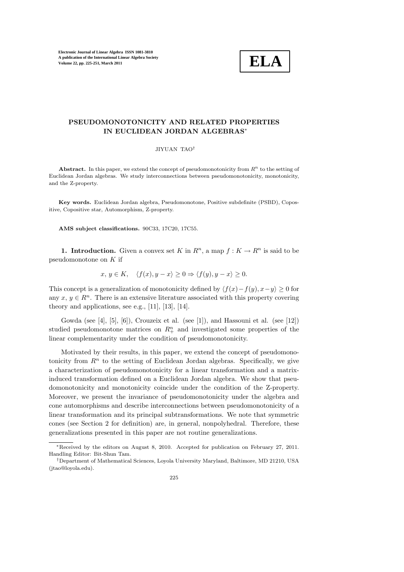

# PSEUDOMONOTONICITY AND RELATED PROPERTIES IN EUCLIDEAN JORDAN ALGEBRAS<sup>∗</sup>

JIYUAN TAO†

Abstract. In this paper, we extend the concept of pseudomonotonicity from  $R<sup>n</sup>$  to the setting of Euclidean Jordan algebras. We study interconnections between pseudomonotonicity, monotonicity, and the Z-property.

Key words. Euclidean Jordan algebra, Pseudomonotone, Positive subdefinite (PSBD), Copositive, Copositive star, Automorphism, Z-property.

AMS subject classifications. 90C33, 17C20, 17C55.

1. Introduction. Given a convex set K in  $R^n$ , a map  $f: K \to R^n$  is said to be pseudomonotone on K if

$$
x, y \in K, \quad \langle f(x), y - x \rangle \ge 0 \Rightarrow \langle f(y), y - x \rangle \ge 0.
$$

This concept is a generalization of monotonicity defined by  $\langle f(x)-f(y), x-y \rangle \geq 0$  for any  $x, y \in \mathbb{R}^n$ . There is an extensive literature associated with this property covering theory and applications, see e.g.,  $[11]$ ,  $[13]$ ,  $[14]$ .

Gowda (see [4], [5], [6]), Crouzeix et al. (see [1]), and Hassouni et al. (see [12]) studied pseudomonotone matrices on  $R^n_+$  and investigated some properties of the linear complementarity under the condition of pseudomonotonicity.

Motivated by their results, in this paper, we extend the concept of pseudomonotonicity from  $\mathbb{R}^n$  to the setting of Euclidean Jordan algebras. Specifically, we give a characterization of pseudomonotonicity for a linear transformation and a matrixinduced transformation defined on a Euclidean Jordan algebra. We show that pseudomonotonicity and monotonicity coincide under the condition of the Z-property. Moreover, we present the invariance of pseudomonotonicity under the algebra and cone automorphisms and describe interconnections between pseudomonotonicity of a linear transformation and its principal subtransformations. We note that symmetric cones (see Section 2 for definition) are, in general, nonpolyhedral. Therefore, these generalizations presented in this paper are not routine generalizations.

<sup>∗</sup>Received by the editors on August 8, 2010. Accepted for publication on February 27, 2011. Handling Editor: Bit-Shun Tam.

<sup>†</sup>Department of Mathematical Sciences, Loyola University Maryland, Baltimore, MD 21210, USA (jtao@loyola.edu).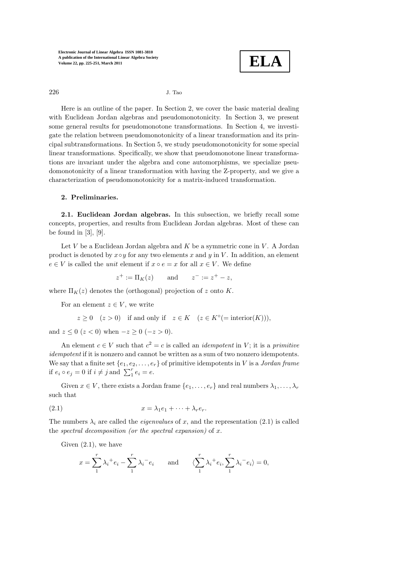

226 J. Tao

Here is an outline of the paper. In Section 2, we cover the basic material dealing with Euclidean Jordan algebras and pseudomonotonicity. In Section 3, we present some general results for pseudomonotone transformations. In Section 4, we investigate the relation between pseudomonotonicity of a linear transformation and its principal subtransformations. In Section 5, we study pseudomonotonicity for some special linear transformations. Specifically, we show that pseudomonotone linear transformations are invariant under the algebra and cone automorphisms, we specialize pseudomonotonicity of a linear transformation with having the Z-property, and we give a characterization of pseudomonotonicity for a matrix-induced transformation.

### 2. Preliminaries.

2.1. Euclidean Jordan algebras. In this subsection, we briefly recall some concepts, properties, and results from Euclidean Jordan algebras. Most of these can be found in  $[3]$ ,  $[9]$ .

Let  $V$  be a Euclidean Jordan algebra and  $K$  be a symmetric cone in  $V$ . A Jordan product is denoted by  $x \circ y$  for any two elements x and y in V. In addition, an element  $e \in V$  is called the *unit* element if  $x \circ e = x$  for all  $x \in V$ . We define

$$
z^+ := \Pi_K(z)
$$
 and  $z^- := z^+ - z$ ,

where  $\Pi_K(z)$  denotes the (orthogonal) projection of z onto K.

For an element  $z \in V$ , we write

$$
z\geq 0 \quad (z>0) \quad \text{if and only if} \quad z\in K \quad (z\in K^{\circ}(=\text{interior}(K))),
$$

and  $z \le 0$  ( $z < 0$ ) when  $-z \ge 0$  ( $-z > 0$ ).

An element  $c \in V$  such that  $c^2 = c$  is called an *idempotent* in V; it is a *primitive* idempotent if it is nonzero and cannot be written as a sum of two nonzero idempotents. We say that a finite set  $\{e_1, e_2, \ldots, e_r\}$  of primitive idempotents in V is a Jordan frame if  $e_i \circ e_j = 0$  if  $i \neq j$  and  $\sum_1^r e_i = e$ .

Given  $x \in V$ , there exists a Jordan frame  $\{e_1, \ldots, e_r\}$  and real numbers  $\lambda_1, \ldots, \lambda_r$ such that

(2.1) 
$$
x = \lambda_1 e_1 + \dots + \lambda_r e_r.
$$

The numbers  $\lambda_i$  are called the *eigenvalues* of x, and the representation (2.1) is called the spectral decomposition (or the spectral expansion) of  $x$ .

Given  $(2.1)$ , we have

$$
x = \sum_{1}^{r} \lambda_i^+ e_i - \sum_{1}^{r} \lambda_i^- e_i \quad \text{and} \quad \langle \sum_{1}^{r} \lambda_i^+ e_i, \sum_{1}^{r} \lambda_i^- e_i \rangle = 0,
$$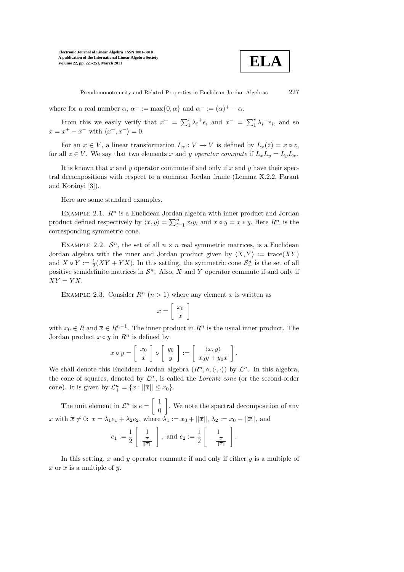

Pseudomonotonicity and Related Properties in Euclidean Jordan Algebras 227

where for a real number  $\alpha$ ,  $\alpha^+ := \max\{0, \alpha\}$  and  $\alpha^- := (\alpha)^+ - \alpha$ .

From this we easily verify that  $x^+ = \sum_1^r \lambda_i^+ e_i$  and  $x^- = \sum_1^r \lambda_i^- e_i$ , and so  $x = x^+ - x^-$  with  $\langle x^+, x^- \rangle = 0$ .

For an  $x \in V$ , a linear transformation  $L_x : V \to V$  is defined by  $L_x(z) = x \circ z$ , for all  $z \in V$ . We say that two elements x and y operator commute if  $L_xL_y = L_yL_x$ .

It is known that x and y operator commute if and only if x and y have their spectral decompositions with respect to a common Jordan frame (Lemma X.2.2, Faraut and Korányi [3]).

Here are some standard examples.

EXAMPLE 2.1.  $\mathbb{R}^n$  is a Euclidean Jordan algebra with inner product and Jordan product defined respectively by  $\langle x, y \rangle = \sum_{i=1}^{n} x_i y_i$  and  $x \circ y = x * y$ . Here  $R_+^n$  is the corresponding symmetric cone.

EXAMPLE 2.2.  $\mathcal{S}^n$ , the set of all  $n \times n$  real symmetric matrices, is a Euclidean Jordan algebra with the inner and Jordan product given by  $\langle X, Y \rangle := \text{trace}(XY)$ and  $X \circ Y := \frac{1}{2}(XY + YX)$ . In this setting, the symmetric cone  $S_{+}^{n}$  is the set of all positive semidefinite matrices in  $\mathcal{S}^n$ . Also, X and Y operator commute if and only if  $XY = YX$ .

EXAMPLE 2.3. Consider  $R^n$   $(n > 1)$  where any element x is written as

$$
x=\left[\begin{array}{c}x_0\\\overline{x}\end{array}\right]
$$

with  $x_0 \in R$  and  $\overline{x} \in R^{n-1}$ . The inner product in  $R^n$  is the usual inner product. The Jordan product  $x \circ y$  in  $R^n$  is defined by

$$
x \circ y = \left[ \begin{array}{c} x_0 \\ \overline{x} \end{array} \right] \circ \left[ \begin{array}{c} y_0 \\ \overline{y} \end{array} \right] := \left[ \begin{array}{c} \langle x, y \rangle \\ x_0 \overline{y} + y_0 \overline{x} \end{array} \right]
$$

.

We shall denote this Euclidean Jordan algebra  $(R^n, \circ, \langle \cdot, \cdot \rangle)$  by  $\mathcal{L}^n$ . In this algebra, the cone of squares, denoted by  $\mathcal{L}_+^n$ , is called the *Lorentz cone* (or the second-order cone). It is given by  $\mathcal{L}^n_+ = \{x : ||\overline{x}|| \le x_0\}.$ 

The unit element in  $\mathcal{L}^n$  is  $e = \begin{bmatrix} 1 \\ 0 \end{bmatrix}$  $\theta$ 1 . We note the spectral decomposition of any x with  $\overline{x} \neq 0$ :  $x = \lambda_1 e_1 + \lambda_2 e_2$ , where  $\lambda_1 := x_0 + ||\overline{x}||$ ,  $\lambda_2 := x_0 - ||\overline{x}||$ , and

$$
e_1 := \frac{1}{2} \left[ \begin{array}{c} 1 \\ \frac{\overline{x}}{\|\overline{x}\|} \end{array} \right], \text{ and } e_2 := \frac{1}{2} \left[ \begin{array}{c} 1 \\ -\frac{\overline{x}}{\|\overline{x}\|} \end{array} \right].
$$

In this setting, x and y operator commute if and only if either  $\overline{y}$  is a multiple of  $\overline{x}$  or  $\overline{x}$  is a multiple of  $\overline{y}$ .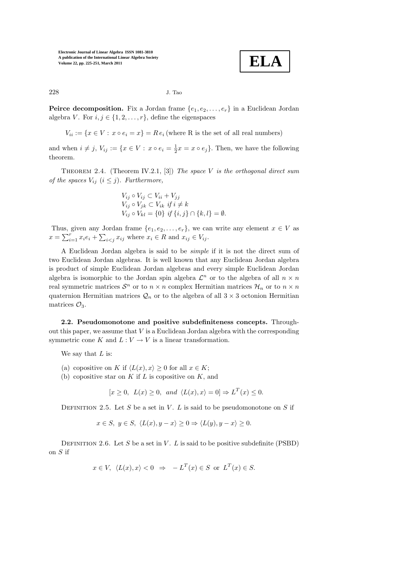

228 J. Tao

**Peirce decomposition.** Fix a Jordan frame  $\{e_1, e_2, \ldots, e_r\}$  in a Euclidean Jordan algebra V. For  $i, j \in \{1, 2, \ldots, r\}$ , define the eigenspaces

 $V_{ii} := \{x \in V : x \circ e_i = x\} = Re_i$  (where R is the set of all real numbers)

and when  $i \neq j$ ,  $V_{ij} := \{x \in V : x \circ e_i = \frac{1}{2}x = x \circ e_j\}$ . Then, we have the following theorem.

THEOREM 2.4. (Theorem IV.2.1, [3]) The space V is the orthogonal direct sum of the spaces  $V_{ij}$   $(i \leq j)$ . Furthermore,

$$
V_{ij} \circ V_{ij} \subset V_{ii} + V_{jj}
$$
  
\n
$$
V_{ij} \circ V_{jk} \subset V_{ik} \text{ if } i \neq k
$$
  
\n
$$
V_{ij} \circ V_{kl} = \{0\} \text{ if } \{i, j\} \cap \{k, l\} = \emptyset.
$$

Thus, given any Jordan frame  $\{e_1, e_2, \ldots, e_r\}$ , we can write any element  $x \in V$  as  $x = \sum_{i=1}^r x_i e_i + \sum_{i < j} x_{ij}$  where  $x_i \in R$  and  $x_{ij} \in V_{ij}$ .

A Euclidean Jordan algebra is said to be simple if it is not the direct sum of two Euclidean Jordan algebras. It is well known that any Euclidean Jordan algebra is product of simple Euclidean Jordan algebras and every simple Euclidean Jordan algebra is isomorphic to the Jordan spin algebra  $\mathcal{L}^n$  or to the algebra of all  $n \times n$ real symmetric matrices  $S^n$  or to  $n \times n$  complex Hermitian matrices  $\mathcal{H}_n$  or to  $n \times n$ quaternion Hermitian matrices  $\mathcal{Q}_n$  or to the algebra of all  $3 \times 3$  octonion Hermitian matrices  $\mathcal{O}_3$ .

2.2. Pseudomonotone and positive subdefiniteness concepts. Throughout this paper, we assume that  $V$  is a Euclidean Jordan algebra with the corresponding symmetric cone K and  $L: V \to V$  is a linear transformation.

We say that  $L$  is:

- (a) copositive on K if  $\langle L(x), x \rangle \geq 0$  for all  $x \in K$ ;
- (b) copositive star on K if L is copositive on K, and

$$
[x \ge 0, L(x) \ge 0, and \langle L(x), x \rangle = 0] \Rightarrow L^T(x) \le 0.
$$

DEFINITION 2.5. Let S be a set in V. L is said to be pseudomonotone on S if

$$
x \in S, y \in S, \langle L(x), y - x \rangle \ge 0 \Rightarrow \langle L(y), y - x \rangle \ge 0.
$$

DEFINITION 2.6. Let S be a set in V. L is said to be positive subdefinite (PSBD) on S if

$$
x \in V
$$
,  $\langle L(x), x \rangle < 0 \Rightarrow -L^T(x) \in S$  or  $L^T(x) \in S$ .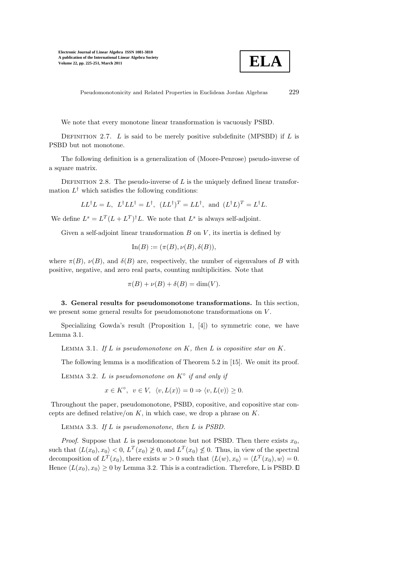

Pseudomonotonicity and Related Properties in Euclidean Jordan Algebras 229

We note that every monotone linear transformation is vacuously PSBD.

DEFINITION 2.7. L is said to be merely positive subdefinite (MPSBD) if L is PSBD but not monotone.

The following definition is a generalization of (Moore-Penrose) pseudo-inverse of a square matrix.

DEFINITION 2.8. The pseudo-inverse of  $L$  is the uniquely defined linear transformation  $L^{\dagger}$  which satisfies the following conditions:

$$
LL^{\dagger}L = L, \ L^{\dagger}LL^{\dagger} = L^{\dagger}, \ (LL^{\dagger})^T = LL^{\dagger}, \text{ and } (L^{\dagger}L)^T = L^{\dagger}L.
$$

We define  $L^s = L^T (L + L^T)^{\dagger} L$ . We note that  $L^s$  is always self-adjoint.

Given a self-adjoint linear transformation  $B$  on  $V$ , its inertia is defined by

$$
\text{In}(B) := (\pi(B), \nu(B), \delta(B)),
$$

where  $\pi(B)$ ,  $\nu(B)$ , and  $\delta(B)$  are, respectively, the number of eigenvalues of B with positive, negative, and zero real parts, counting multiplicities. Note that

$$
\pi(B) + \nu(B) + \delta(B) = \dim(V).
$$

3. General results for pseudomonotone transformations. In this section, we present some general results for pseudomonotone transformations on  $V$ .

Specializing Gowda's result (Proposition 1, [4]) to symmetric cone, we have Lemma 3.1.

LEMMA 3.1. If  $L$  is pseudomonotone on  $K$ , then  $L$  is copositive star on  $K$ .

The following lemma is a modification of Theorem 5.2 in [15]. We omit its proof.

LEMMA 3.2. L is pseudomonotone on  $K^{\circ}$  if and only if

$$
x\in K^{\circ},\;\;v\in V,\;\;\langle v,L(x)\rangle=0\Rightarrow\langle v,L(v)\rangle\geq0.
$$

Throughout the paper, pseudomonotone, PSBD, copositive, and copositive star concepts are defined relative/on  $K$ , in which case, we drop a phrase on  $K$ .

LEMMA 3.3. If  $L$  is pseudomonotone, then  $L$  is PSBD.

*Proof.* Suppose that L is pseudomonotone but not PSBD. Then there exists  $x_0$ , such that  $\langle L(x_0), x_0 \rangle < 0$ ,  $L^T(x_0) \not\geq 0$ , and  $L^T(x_0) \not\leq 0$ . Thus, in view of the spectral decomposition of  $L^T(x_0)$ , there exists  $w > 0$  such that  $\langle L(w), x_0 \rangle = \langle L^T(x_0), w \rangle = 0$ . Hence  $\langle L(x_0), x_0 \rangle \ge 0$  by Lemma 3.2. This is a contradiction. Therefore, L is PSBD.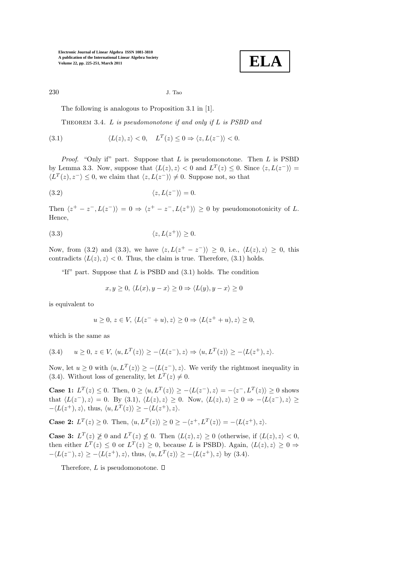**ELA**

230 J. Tao

The following is analogous to Proposition 3.1 in [1].

THEOREM 3.4.  $L$  is pseudomonotone if and only if  $L$  is PSBD and

(3.1) 
$$
\langle L(z), z \rangle < 0, \quad L^T(z) \leq 0 \Rightarrow \langle z, L(z^-) \rangle < 0.
$$

*Proof.* "Only if" part. Suppose that  $L$  is pseudomonotone. Then  $L$  is PSBD by Lemma 3.3. Now, suppose that  $\langle L(z), z \rangle < 0$  and  $L^T(z) \leq 0$ . Since  $\langle z, L(z^-) \rangle =$  $\langle L^T(z), z^- \rangle \leq 0$ , we claim that  $\langle z, L(z^-) \rangle \neq 0$ . Suppose not, so that

(3.2) 
$$
\langle z, L(z^-) \rangle = 0.
$$

Then  $\langle z^+ - z^-, L(z^-) \rangle = 0 \Rightarrow \langle z^+ - z^-, L(z^+) \rangle \ge 0$  by pseudomonotonicity of L. Hence,

$$
(3.3) \t\t \langle z, L(z^+) \rangle \ge 0.
$$

Now, from (3.2) and (3.3), we have  $\langle z, L(z^+ - z^-) \rangle \geq 0$ , i.e.,  $\langle L(z), z \rangle \geq 0$ , this contradicts  $\langle L(z), z \rangle < 0$ . Thus, the claim is true. Therefore, (3.1) holds.

"If" part. Suppose that  $L$  is PSBD and  $(3.1)$  holds. The condition

$$
x, y \ge 0, \langle L(x), y - x \rangle \ge 0 \Rightarrow \langle L(y), y - x \rangle \ge 0
$$

is equivalent to

$$
u \ge 0, z \in V, \langle L(z^{-} + u), z \rangle \ge 0 \Rightarrow \langle L(z^{+} + u), z \rangle \ge 0,
$$

which is the same as

$$
(3.4) \qquad u \ge 0, \ z \in V, \ \langle u, L^T(z) \rangle \ge -\langle L(z^-), z \rangle \Rightarrow \langle u, L^T(z) \rangle \ge -\langle L(z^+), z \rangle.
$$

Now, let  $u \ge 0$  with  $\langle u, L^T(z) \rangle \ge -\langle L(z^-), z \rangle$ . We verify the rightmost inequality in (3.4). Without loss of generality, let  $L^T(z) \neq 0$ .

**Case 1:**  $L^T(z) \le 0$ . Then,  $0 \ge \langle u, L^T(z) \rangle \ge -\langle L(z^-), z \rangle = -\langle z^-, L^T(z) \rangle \ge 0$  shows that  $\langle L(z^-), z \rangle = 0$ . By (3.1),  $\langle L(z), z \rangle \ge 0$ . Now,  $\langle L(z), z \rangle \ge 0 \Rightarrow -\langle L(z^-), z \rangle \ge$  $-\langle L(z^+), z \rangle$ , thus,  $\langle u, L^T(z) \rangle \ge -\langle L(z^+), z \rangle$ .

**Case 2:**  $L^T(z) \ge 0$ . Then,  $\langle u, L^T(z) \rangle \ge 0 \ge -\langle z^+, L^T(z) \rangle = -\langle L(z^+), z \rangle$ .

**Case 3:**  $L^T(z) \not\geq 0$  and  $L^T(z) \not\leq 0$ . Then  $\langle L(z), z \rangle \geq 0$  (otherwise, if  $\langle L(z), z \rangle < 0$ , then either  $L^T(z) \leq 0$  or  $L^T(z) \geq 0$ , because L is PSBD). Again,  $\langle L(z), z \rangle \geq 0 \Rightarrow$  $-\langle L(z^-), z \rangle \ge -\langle L(z^+), z \rangle$ , thus,  $\langle u, L^T(z) \rangle \ge -\langle L(z^+), z \rangle$  by (3.4).

Therefore,  $L$  is pseudomonotone.  $\square$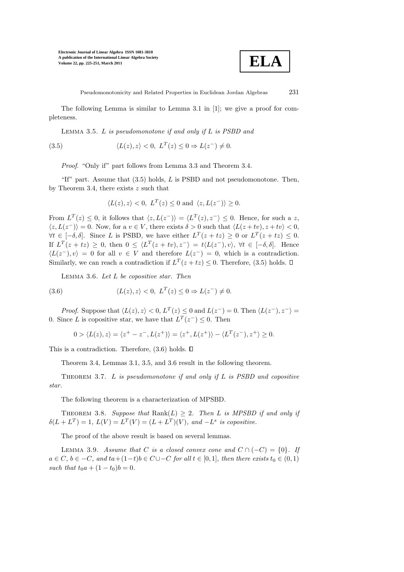

Pseudomonotonicity and Related Properties in Euclidean Jordan Algebras 231

The following Lemma is similar to Lemma 3.1 in [1]; we give a proof for completeness.

LEMMA 3.5.  $L$  is pseudomonotone if and only if  $L$  is PSBD and

(3.5) 
$$
\langle L(z), z \rangle < 0, \ L^T(z) \leq 0 \Rightarrow L(z^-) \neq 0.
$$

Proof. "Only if" part follows from Lemma 3.3 and Theorem 3.4.

"If" part. Assume that  $(3.5)$  holds, L is PSBD and not pseudomonotone. Then, by Theorem 3.4, there exists  $z$  such that

$$
\langle L(z), z \rangle < 0, \ L^T(z) \le 0 \ \text{and} \ \langle z, L(z^-) \rangle \ge 0.
$$

From  $L^T(z) \leq 0$ , it follows that  $\langle z, L(z^-) \rangle = \langle L^T(z), z^- \rangle \leq 0$ . Hence, for such a z,  $\langle z, L(z^-)\rangle = 0$ . Now, for a  $v \in V$ , there exists  $\delta > 0$  such that  $\langle L(z + tv), z + tv \rangle < 0$ ,  $\forall t \in [-\delta, \delta].$  Since L is PSBD, we have either  $L^T(z + tz) \geq 0$  or  $L^T(z + tz) \leq 0$ . If  $L^T(z + tz) \geq 0$ , then  $0 \leq \langle L^T(z + tv), z^- \rangle = t \langle L(z^-), v \rangle$ ,  $\forall t \in [-\delta, \delta]$ . Hence  $\langle L(z^-), v \rangle = 0$  for all  $v \in V$  and therefore  $L(z^-) = 0$ , which is a contradiction. Similarly, we can reach a contradiction if  $L^T(z + tz) \leq 0$ . Therefore, (3.5) holds.

LEMMA 3.6. Let  $L$  be copositive star. Then

(3.6) 
$$
\langle L(z), z \rangle < 0, \ L^T(z) \leq 0 \Rightarrow L(z^-) \neq 0.
$$

*Proof.* Suppose that  $\langle L(z), z \rangle < 0$ ,  $L^T(z) \leq 0$  and  $L(z^-) = 0$ . Then  $\langle L(z^-), z^- \rangle =$ 0. Since L is copositive star, we have that  $L^T(z^-) \leq 0$ . Then

$$
0 > \langle L(z), z \rangle = \langle z^+ - z^-, L(z^+) \rangle = \langle z^+, L(z^+) \rangle - \langle L^T(z^-), z^+ \rangle \ge 0.
$$

This is a contradiction. Therefore,  $(3.6)$  holds.  $\Box$ 

Theorem 3.4, Lemmas 3.1, 3.5, and 3.6 result in the following theorem.

THEOREM 3.7. L is pseudomonotone if and only if L is PSBD and copositive star.

The following theorem is a characterization of MPSBD.

THEOREM 3.8. Suppose that  $\text{Rank}(L) > 2$ . Then L is MPSBD if and only if  $\delta(L + L^T) = 1, L(V) = L^T(V) = (L + L^T)(V), \text{ and } -L^s \text{ is copositive.}$ 

The proof of the above result is based on several lemmas.

LEMMA 3.9. Assume that C is a closed convex cone and  $C \cap (-C) = \{0\}$ . If  $a \in C$ ,  $b \in -C$ , and  $ta+(1-t)b \in C \cup -C$  for all  $t \in [0,1]$ , then there exists  $t_0 \in (0,1)$ such that  $t_0a + (1 - t_0)b = 0$ .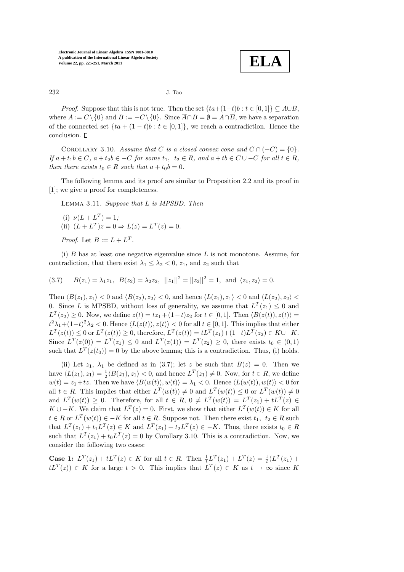**ELA**

232 J. Tao

*Proof.* Suppose that this is not true. Then the set  $\{ta+(1-t)b : t \in [0,1]\} \subseteq A\cup B$ , where  $A := C \setminus \{0\}$  and  $B := -C \setminus \{0\}$ . Since  $\overline{A} \cap B = \emptyset = A \cap \overline{B}$ , we have a separation of the connected set  $\{ta + (1-t)b : t \in [0,1]\}$ , we reach a contradiction. Hence the conclusion.

COROLLARY 3.10. Assume that C is a closed convex cone and  $C \cap (-C) = \{0\}.$ If  $a + t_1b \in C$ ,  $a + t_2b \in -C$  for some  $t_1, t_2 \in R$ , and  $a + tb \in C \cup -C$  for all  $t \in R$ , then there exists  $t_0 \in R$  such that  $a + t_0b = 0$ .

The following lemma and its proof are similar to Proposition 2.2 and its proof in [1]; we give a proof for completeness.

Lemma 3.11. Suppose that L is MPSBD. Then

(i) 
$$
\nu(L + L^T) = 1;
$$
  
\n(ii)  $(L + L^T)z = 0 \Rightarrow L(z) = L^T(z) = 0.$ 

*Proof.* Let  $B := L + L^T$ .

(i)  $B$  has at least one negative eigenvalue since  $L$  is not monotone. Assume, for contradiction, that there exist  $\lambda_1 \leq \lambda_2 < 0$ ,  $z_1$ , and  $z_2$  such that

$$
(3.7) \tB(z_1) = \lambda_1 z_1, \tB(z_2) = \lambda_2 z_2, \t||z_1||^2 = ||z_2||^2 = 1, \text{ and } \langle z_1, z_2 \rangle = 0.
$$

Then  $\langle B(z_1), z_1 \rangle < 0$  and  $\langle B(z_2), z_2 \rangle < 0$ , and hence  $\langle L(z_1), z_1 \rangle < 0$  and  $\langle L(z_2), z_2 \rangle <$ 0. Since L is MPSBD, without loss of generality, we assume that  $L^T(z_1) \leq 0$  and  $L^T(z_2) \geq 0$ . Now, we define  $z(t) = tz_1 + (1-t)z_2$  for  $t \in [0,1]$ . Then  $\langle B(z(t)), z(t) \rangle =$  $t^2\lambda_1+(1-t)^2\lambda_2 < 0.$  Hence  $\langle L(z(t)), z(t) \rangle < 0$  for all  $t \in [0,1]$ . This implies that either  $L^T(z(t)) \leq 0$  or  $L^T(z(t)) \geq 0$ , therefore,  $L^T(z(t)) = tL^T(z_1) + (1-t)L^T(z_2) \in K \cup -K$ . Since  $L^T(z(0)) = L^T(z_1) \leq 0$  and  $L^T(z(1)) = L^T(z_2) \geq 0$ , there exists  $t_0 \in (0,1)$ such that  $L^T(z(t_0)) = 0$  by the above lemma; this is a contradiction. Thus, (i) holds.

(ii) Let  $z_1$ ,  $\lambda_1$  be defined as in (3.7); let z be such that  $B(z) = 0$ . Then we have  $\langle L(z_1), z_1 \rangle = \frac{1}{2} \langle B(z_1), z_1 \rangle < 0$ , and hence  $L^T(z_1) \neq 0$ . Now, for  $t \in R$ , we define  $w(t) = z_1 + tz$ . Then we have  $\langle B(w(t)), w(t) \rangle = \lambda_1 < 0$ . Hence  $\langle L(w(t)), w(t) \rangle < 0$  for all  $t \in R$ . This implies that either  $L^T(w(t)) \neq 0$  and  $L^T(w(t)) \leq 0$  or  $L^T(w(t)) \neq 0$ and  $L^T(w(t)) \geq 0$ . Therefore, for all  $t \in R$ ,  $0 \neq L^T(w(t)) = L^T(z_1) + tL^T(z) \in$  $K \cup -K$ . We claim that  $L^T(z) = 0$ . First, we show that either  $L^T(w(t)) \in K$  for all  $t \in R$  or  $L^T(w(t)) \in -K$  for all  $t \in R$ . Suppose not. Then there exist  $t_1, t_2 \in R$  such that  $L^T(z_1) + t_1 L^T(z) \in K$  and  $L^T(z_1) + t_2 L^T(z) \in -K$ . Thus, there exists  $t_0 \in R$ such that  $L^T(z_1) + t_0 L^T(z) = 0$  by Corollary 3.10. This is a contradiction. Now, we consider the following two cases:

**Case 1:**  $L^T(z_1) + tL^T(z) \in K$  for all  $t \in R$ . Then  $\frac{1}{t}L^T(z_1) + L^T(z) = \frac{1}{t}(L^T(z_1) +$  $tL^{T}(z)$   $\in$  K for a large  $t > 0$ . This implies that  $L^{T}(z) \in K$  as  $t \to \infty$  since K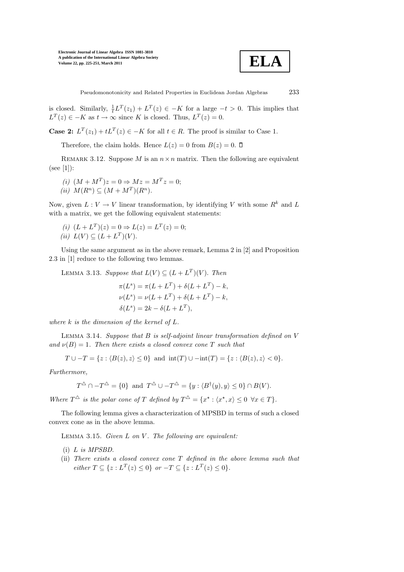

Pseudomonotonicity and Related Properties in Euclidean Jordan Algebras 233

is closed. Similarly,  $\frac{1}{t}L^T(z_1) + L^T(z) \in -K$  for a large  $-t > 0$ . This implies that  $L^T(z) \in -K$  as  $t \to \infty$  since K is closed. Thus,  $L^T(z) = 0$ .

**Case 2:**  $L^T(z_1) + tL^T(z) \in -K$  for all  $t \in R$ . The proof is similar to Case 1.

Therefore, the claim holds. Hence  $L(z) = 0$  from  $B(z) = 0$ .  $\Box$ 

REMARK 3.12. Suppose M is an  $n \times n$  matrix. Then the following are equivalent  $(see [1]):$ 

- (i)  $(M + M^T)z = 0 \Rightarrow Mz = M^Tz = 0;$
- (ii)  $M(R^n) \subseteq (M + M^T)(R^n)$ .

Now, given  $L: V \to V$  linear transformation, by identifying V with some  $R^k$  and L with a matrix, we get the following equivalent statements:

(i) 
$$
(L + L^T)(z) = 0 \Rightarrow L(z) = L^T(z) = 0;
$$
  
(ii)  $L(V) \subseteq (L + L^T)(V).$ 

Using the same argument as in the above remark, Lemma 2 in [2] and Proposition 2.3 in [1] reduce to the following two lemmas.

LEMMA 3.13. Suppose that  $L(V) \subseteq (L + L^T)(V)$ . Then

$$
\pi(L^s) = \pi(L + L^T) + \delta(L + L^T) - k,
$$
  
\n
$$
\nu(L^s) = \nu(L + L^T) + \delta(L + L^T) - k,
$$
  
\n
$$
\delta(L^s) = 2k - \delta(L + L^T),
$$

where  $k$  is the dimension of the kernel of  $L$ .

LEMMA 3.14. Suppose that  $B$  is self-adjoint linear transformation defined on  $V$ and  $\nu(B) = 1$ . Then there exists a closed convex cone T such that

$$
T \cup -T = \{ z : \langle B(z), z \rangle \le 0 \} \text{ and } \operatorname{int}(T) \cup -\operatorname{int}(T) = \{ z : \langle B(z), z \rangle < 0 \}.
$$

Furthermore,

$$
T^{\triangle} \cap -T^{\triangle} = \{0\} \text{ and } T^{\triangle} \cup -T^{\triangle} = \{y : \langle B^{\dagger}(y), y \rangle \le 0\} \cap B(V).
$$

Where  $T^{\Delta}$  is the polar cone of T defined by  $T^{\Delta} = \{x^* : \langle x^*, x \rangle \leq 0 \ \forall x \in T\}.$ 

The following lemma gives a characterization of MPSBD in terms of such a closed convex cone as in the above lemma.

LEMMA 3.15. Given  $L$  on  $V$ . The following are equivalent:

- (i) L is MPSBD.
- (ii) There exists a closed convex cone T defined in the above lemma such that  $either T \subseteq \{z : L^T(z) \le 0\} \ \ or \ -T \subseteq \{z : L^T(z) \le 0\}.$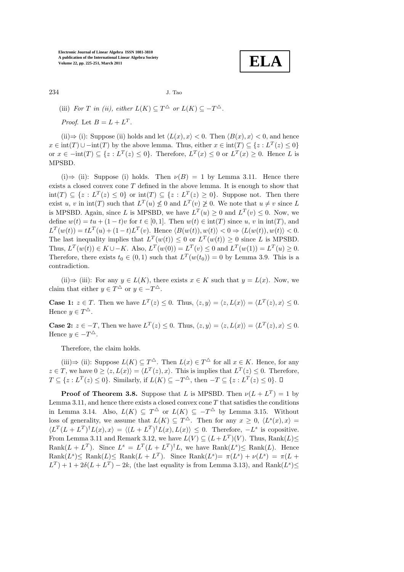**ELA**

234 J. Tao

(iii) For T in (ii), either  $L(K) \subseteq T^{\Delta}$  or  $L(K) \subseteq -T^{\Delta}$ .

*Proof.* Let  $B = L + L^T$ .

(ii)⇒ (i): Suppose (ii) holds and let  $\langle L(x), x \rangle < 0$ . Then  $\langle B(x), x \rangle < 0$ , and hence  $x \in \text{int}(T) \cup \text{-int}(T)$  by the above lemma. Thus, either  $x \in \text{int}(T) \subseteq \{z : L^T(z) \le 0\}$ or  $x \in -\text{int}(T) \subseteq \{z : L^T(z) \le 0\}$ . Therefore,  $L^T(x) \le 0$  or  $L^T(x) \ge 0$ . Hence L is MPSBD.

(i)⇒ (ii): Suppose (i) holds. Then  $\nu(B) = 1$  by Lemma 3.11. Hence there exists a closed convex cone T defined in the above lemma. It is enough to show that  $\text{int}(T) \subseteq \{z : L^T(z) \leq 0\}$  or  $\text{int}(T) \subseteq \{z : L^T(z) \geq 0\}$ . Suppose not. Then there exist u, v in  $\text{int}(T)$  such that  $L^T(u) \not\leq 0$  and  $L^T(v) \not\geq 0$ . We note that  $u \neq v$  since L is MPSBD. Again, since L is MPSBD, we have  $L^T(u) \geq 0$  and  $L^T(v) \leq 0$ . Now, we define  $w(t) = tu + (1 - t)v$  for  $t \in [0, 1]$ . Then  $w(t) \in int(T)$  since u, v in  $int(T)$ , and  $L^T(w(t)) = tL^T(u) + (1-t)L^T(v)$ . Hence  $\langle B(w(t)), w(t) \rangle < 0 \Rightarrow \langle L(w(t)), w(t) \rangle < 0$ . The last inequality implies that  $L^T(w(t)) \leq 0$  or  $L^T(w(t)) \geq 0$  since L is MPSBD. Thus,  $L^T(w(t)) \in K \cup -K$ . Also,  $L^T(w(0)) = L^T(v) \leq 0$  and  $L^T(w(1)) = L^T(u) \geq 0$ . Therefore, there exists  $t_0 \in (0,1)$  such that  $L^T(w(t_0)) = 0$  by Lemma 3.9. This is a contradiction.

(ii) $\Rightarrow$  (iii): For any  $y \in L(K)$ , there exists  $x \in K$  such that  $y = L(x)$ . Now, we claim that either  $y \in T^{\Delta}$  or  $y \in -T^{\Delta}$ .

**Case 1:**  $z \in T$ . Then we have  $L^T(z) \leq 0$ . Thus,  $\langle z, y \rangle = \langle z, L(x) \rangle = \langle L^T(z), x \rangle \leq 0$ . Hence  $y \in T^{\Delta}$ .

**Case 2:**  $z \in -T$ , Then we have  $L^T(z) \leq 0$ . Thus,  $\langle z, y \rangle = \langle z, L(x) \rangle = \langle L^T(z), x \rangle \leq 0$ . Hence  $y \in -T^{\triangle}$ .

Therefore, the claim holds.

(iii)⇒ (ii): Suppose  $L(K) \subseteq T^{\Delta}$ . Then  $L(x) \in T^{\Delta}$  for all  $x \in K$ . Hence, for any  $z \in T$ , we have  $0 \ge \langle z, L(x) \rangle = \langle L^T(z), x \rangle$ . This is implies that  $L^T(z) \le 0$ . Therefore,  $T \subseteq \{z : L^T(z) \le 0\}$ . Similarly, if  $L(K) \subseteq -T^{\Delta}$ , then  $-T \subseteq \{z : L^T(z) \le 0\}$ .

**Proof of Theorem 3.8.** Suppose that L is MPSBD. Then  $\nu(L + L^T) = 1$  by Lemma 3.11, and hence there exists a closed convex cone  $T$  that satisfies the conditions in Lemma 3.14. Also,  $L(K) \subseteq T^{\Delta}$  or  $L(K) \subseteq -T^{\Delta}$  by Lemma 3.15. Without loss of generality, we assume that  $L(K) \subseteq T^{\Delta}$ . Then for any  $x \geq 0$ ,  $\langle L^{s}(x), x \rangle =$  $\langle L^T(L+L^T)^{\dagger}L(x),x\rangle = \langle (L+L^T)^{\dagger}L(x),L(x)\rangle \leq 0.$  Therefore,  $-L^s$  is copositive. From Lemma 3.11 and Remark 3.12, we have  $L(V) \subseteq (L + L^T)(V)$ . Thus,  $\text{Rank}(L) \le$ Rank $(L + L^T)$ . Since  $L^s = L^T (L + L^T)^{\dagger} L$ , we have  $\text{Rank}(L^s) \le \text{Rank}(L)$ . Hence  $\text{Rank}(L^s) \le \text{Rank}(L) \le \text{Rank}(L + L^T)$ . Since  $\text{Rank}(L^s) = \pi(L^s) + \nu(L^s) = \pi(L + \frac{1}{2})$  $L^T$ ) + 1 + 2 $\delta(L + L^T)$  – 2k, (the last equality is from Lemma 3.13), and Rank $(L^s) \leq$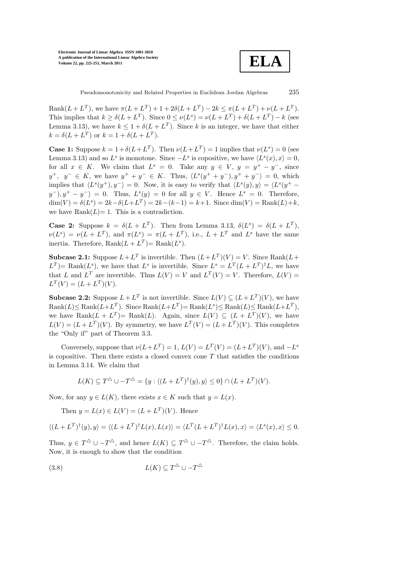

Rank $(L + L^T)$ , we have  $\pi(L + L^T) + 1 + 2\delta(L + L^T) - 2k \leq \pi(L + L^T) + \nu(L + L^T)$ . This implies that  $k \ge \delta(L + L^T)$ . Since  $0 \le \nu(L^s) = \nu(L + L^T) + \delta(L + L^T) - k$  (see Lemma 3.13), we have  $k \leq 1 + \delta(L + L^T)$ . Since k is an integer, we have that either  $k = \delta(L + L^T)$  or  $k = 1 + \delta(L + L^T)$ .

**Case 1:** Suppose  $k = 1 + \delta(L + L^T)$ . Then  $\nu(L + L^T) = 1$  implies that  $\nu(L^s) = 0$  (see Lemma 3.13) and so  $L^s$  is monotone. Since  $-L^s$  is copositive, we have  $\langle L^s(x), x \rangle = 0$ , for all  $x \in K$ . We claim that  $L^s = 0$ . Take any  $y \in V$ ,  $y = y^+ - y^-$ , since  $y^+$ ,  $y^- \in K$ , we have  $y^+ + y^- \in K$ . Thus,  $\langle L^s(y^+ + y^-), y^+ + y^- \rangle = 0$ , which implies that  $\langle L^s(y^+), y^- \rangle = 0$ . Now, it is easy to verify that  $\langle L^s(y), y \rangle = \langle L^s(y^+$  $y^{-}$ ,  $y^{+} - y^{-}$  = 0. Thus,  $L^{s}(y) = 0$  for all  $y \in V$ . Hence  $L^{s} = 0$ . Therefore,  $\dim(V) = \delta(L^s) = 2k - \delta(L + L^T) = 2k - (k-1) = k+1$ . Since  $\dim(V) = \text{Rank}(L) + k$ , we have  $Rank(L)=1$ . This is a contradiction.

**Case 2:** Suppose  $k = \delta(L + L^T)$ . Then from Lemma 3.13,  $\delta(L^s) = \delta(L + L^T)$ ,  $\nu(L^s) = \nu(L + L^T)$ , and  $\pi(L^s) = \pi(L + L^T)$ , i.e.,  $L + L^T$  and  $L^s$  have the same inertia. Therefore,  $\text{Rank}(L + L^T) = \text{Rank}(L^s)$ .

**Subcase 2.1:** Suppose  $L + L^T$  is invertible. Then  $(L + L^T)(V) = V$ . Since Rank $(L +$  $L^T$ )= Rank $(L^s)$ , we have that  $L^s$  is invertible. Since  $L^s = L^T(L + L^T)^{\dagger}L$ , we have that L and  $L^T$  are invertible. Thus  $L(V) = V$  and  $L^T(V) = V$ . Therefore,  $L(V) =$  $L^T(V) = (L + L^T)(V).$ 

**Subcase 2.2:** Suppose  $L + L^T$  is not invertible. Since  $L(V) \subseteq (L + L^T)(V)$ , we have  $\text{Rank}(L) \le \text{Rank}(L + L^T)$ . Since  $\text{Rank}(L + L^T) = \text{Rank}(L^s) \le \text{Rank}(L) \le \text{Rank}(L + L^T)$ , we have Rank $(L + L^T)$  Rank $(L)$ . Again, since  $L(V) \subseteq (L + L^T)(V)$ , we have  $L(V) = (L + L^T)(V)$ . By symmetry, we have  $L^T(V) = (L + L^T)(V)$ . This completes the "Only if" part of Theorem 3.3.

Conversely, suppose that  $\nu(L+L^T) = 1$ ,  $L(V) = L^T(V) = (L+L^T)(V)$ , and  $-L^s$ is copositive. Then there exists a closed convex cone  $T$  that satisfies the conditions in Lemma 3.14. We claim that

$$
L(K) \subseteq T^{\Delta} \cup -T^{\Delta} = \{ y : \langle (L + L^T)^{\dagger}(y), y \rangle \le 0 \} \cap (L + L^T)(V).
$$

Now, for any  $y \in L(K)$ , there exists  $x \in K$  such that  $y = L(x)$ .

Then  $y = L(x) \in L(V) = (L + L^{T})(V)$ . Hence

$$
\langle (L+L^T)^{\dagger}(y), y \rangle = \langle (L+L^T)^{\dagger} L(x), L(x) \rangle = \langle L^T (L+L^T)^{\dagger} L(x), x \rangle = \langle L^s(x), x \rangle \le 0.
$$

Thus,  $y \in T^{\Delta} \cup -T^{\Delta}$ , and hence  $L(K) \subseteq T^{\Delta} \cup -T^{\Delta}$ . Therefore, the claim holds. Now, it is enough to show that the condition

$$
(3.8)\qquad L(K) \subseteq T^{\triangle} \cup -T^{\triangle}
$$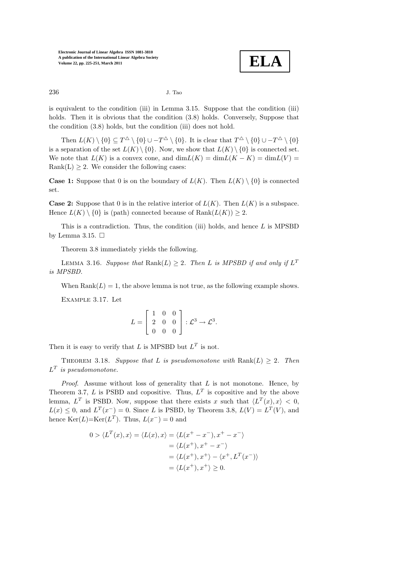**ELA**

236 J. Tao

is equivalent to the condition (iii) in Lemma 3.15. Suppose that the condition (iii) holds. Then it is obvious that the condition  $(3.8)$  holds. Conversely, Suppose that the condition (3.8) holds, but the condition (iii) does not hold.

Then  $L(K) \setminus \{0\} \subseteq T^{\Delta} \setminus \{0\} \cup -T^{\Delta} \setminus \{0\}$ . It is clear that  $T^{\Delta} \setminus \{0\} \cup -T^{\Delta} \setminus \{0\}$ is a separation of the set  $L(K) \setminus \{0\}$ . Now, we show that  $L(K) \setminus \{0\}$  is connected set. We note that  $L(K)$  is a convex cone, and  $\dim L(K) = \dim L(K - K) = \dim L(V)$ Rank(L)  $\geq$  2. We consider the following cases:

**Case 1:** Suppose that 0 is on the boundary of  $L(K)$ . Then  $L(K) \setminus \{0\}$  is connected set.

**Case 2:** Suppose that 0 is in the relative interior of  $L(K)$ . Then  $L(K)$  is a subspace. Hence  $L(K) \setminus \{0\}$  is (path) connected because of  $\text{Rank}(L(K)) \geq 2$ .

This is a contradiction. Thus, the condition (iii) holds, and hence  $L$  is MPSBD by Lemma 3.15.  $\Box$ 

Theorem 3.8 immediately yields the following.

LEMMA 3.16. Suppose that  $\text{Rank}(L) \geq 2$ . Then L is MPSBD if and only if  $L^T$ is MPSBD.

When  $Rank(L) = 1$ , the above lemma is not true, as the following example shows.

Example 3.17. Let

$$
L = \begin{bmatrix} 1 & 0 & 0 \\ 2 & 0 & 0 \\ 0 & 0 & 0 \end{bmatrix} : \mathcal{L}^3 \to \mathcal{L}^3.
$$

Then it is easy to verify that L is MPSBD but  $L^T$  is not.

THEOREM 3.18. Suppose that L is pseudomonotone with  $\text{Rank}(L) > 2$ . Then  $L^T$  is pseudomonotone.

*Proof.* Assume without loss of generality that  $L$  is not monotone. Hence, by Theorem 3.7, L is PSBD and copositive. Thus,  $L^T$  is copositive and by the above lemma,  $L^T$  is PSBD. Now, suppose that there exists x such that  $\langle L^T(x), x \rangle < 0$ ,  $L(x) \leq 0$ , and  $L^{T}(x^{-}) = 0$ . Since L is PSBD, by Theorem 3.8,  $L(V) = L^{T}(V)$ , and hence  $\text{Ker}(L) = \text{Ker}(L^T)$ . Thus,  $L(x^-) = 0$  and

$$
0 > \langle L^T(x), x \rangle = \langle L(x), x \rangle = \langle L(x^+ - x^-), x^+ - x^- \rangle
$$
  
=  $\langle L(x^+), x^+ - x^- \rangle$   
=  $\langle L(x^+), x^+ \rangle - \langle x^+, L^T(x^-) \rangle$   
=  $\langle L(x^+), x^+ \rangle \ge 0.$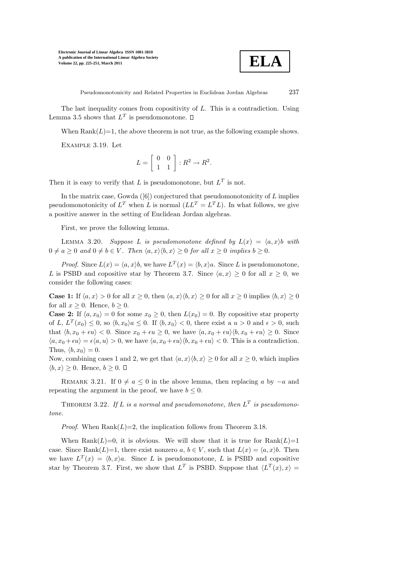

Pseudomonotonicity and Related Properties in Euclidean Jordan Algebras 237

The last inequality comes from copositivity of L. This is a contradiction. Using Lemma 3.5 shows that  $L^T$  is pseudomonotone.

When  $Rank(L)=1$ , the above theorem is not true, as the following example shows.

Example 3.19. Let

$$
L = \left[ \begin{array}{cc} 0 & 0 \\ 1 & 1 \end{array} \right] : R^2 \to R^2.
$$

Then it is easy to verify that L is pseudomonotone, but  $L^T$  is not.

In the matrix case, Gowda  $([6])$  conjectured that pseudomonotonicity of  $L$  implies pseudomonotonicity of  $L^T$  when L is normal  $(LL^T = L^TL)$ . In what follows, we give a positive answer in the setting of Euclidean Jordan algebras.

First, we prove the following lemma.

LEMMA 3.20. Suppose L is pseudomonotone defined by  $L(x) = \langle a, x \rangle b$  with  $0 \neq a \geq 0$  and  $0 \neq b \in V$ . Then  $\langle a, x \rangle \langle b, x \rangle \geq 0$  for all  $x \geq 0$  implies  $b \geq 0$ .

*Proof.* Since  $L(x) = \langle a, x \rangle b$ , we have  $L^T(x) = \langle b, x \rangle a$ . Since L is pseudomonotone, L is PSBD and copositive star by Theorem 3.7. Since  $\langle a, x \rangle \geq 0$  for all  $x \geq 0$ , we consider the following cases:

**Case 1:** If  $\langle a, x \rangle > 0$  for all  $x \geq 0$ , then  $\langle a, x \rangle \langle b, x \rangle \geq 0$  for all  $x \geq 0$  implies  $\langle b, x \rangle \geq 0$ for all  $x \geq 0$ . Hence,  $b \geq 0$ .

**Case 2:** If  $\langle a, x_0 \rangle = 0$  for some  $x_0 \ge 0$ , then  $L(x_0) = 0$ . By copositive star property of L,  $L^T(x_0) \leq 0$ , so  $\langle b, x_0 \rangle a \leq 0$ . If  $\langle b, x_0 \rangle < 0$ , there exist a  $u > 0$  and  $\epsilon > 0$ , such that  $\langle b, x_0 + \epsilon u \rangle < 0$ . Since  $x_0 + \epsilon u \geq 0$ , we have  $\langle a, x_0 + \epsilon u \rangle \langle b, x_0 + \epsilon u \rangle \geq 0$ . Since  $\langle a, x_0 + \epsilon u \rangle = \epsilon \langle a, u \rangle > 0$ , we have  $\langle a, x_0 + \epsilon u \rangle \langle b, x_0 + \epsilon u \rangle < 0$ . This is a contradiction. Thus,  $\langle b, x_0 \rangle = 0$ .

Now, combining cases 1 and 2, we get that  $\langle a, x \rangle \langle b, x \rangle \ge 0$  for all  $x \ge 0$ , which implies  $\langle b, x \rangle \geq 0$ . Hence,  $b \geq 0$ .  $\Box$ 

REMARK 3.21. If  $0 \neq a \leq 0$  in the above lemma, then replacing a by  $-a$  and repeating the argument in the proof, we have  $b \leq 0$ .

THEOREM 3.22. If L is a normal and pseudomonotone, then  $L^T$  is pseudomonotone.

*Proof.* When  $Rank(L)=2$ , the implication follows from Theorem 3.18.

When Rank $(L)=0$ , it is obvious. We will show that it is true for Rank $(L)=1$ case. Since Rank $(L)=1$ , there exist nonzero  $a, b \in V$ , such that  $L(x) = \langle a, x \rangle b$ . Then we have  $L^T(x) = \langle b, x \rangle a$ . Since L is pseudomonotone, L is PSBD and copositive star by Theorem 3.7. First, we show that  $L^T$  is PSBD. Suppose that  $\langle L^T(x), x \rangle =$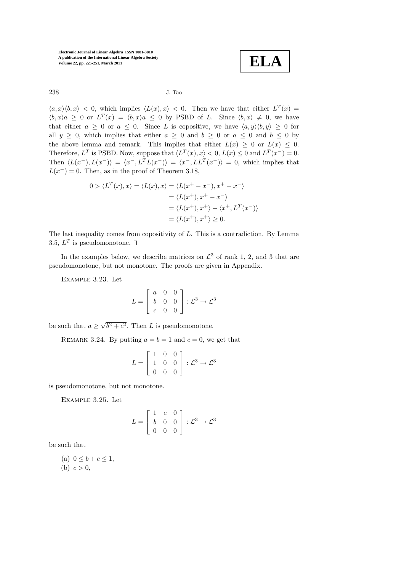**ELA**

238 J. Tao

 $\langle a, x \rangle \langle b, x \rangle$  < 0, which implies  $\langle L(x), x \rangle$  < 0. Then we have that either  $L^T(x)$  =  $\langle b, x \rangle a \geq 0$  or  $L^T(x) = \langle b, x \rangle a \leq 0$  by PSBD of L. Since  $\langle b, x \rangle \neq 0$ , we have that either  $a \geq 0$  or  $a \leq 0$ . Since L is copositive, we have  $\langle a, y \rangle \langle b, y \rangle \geq 0$  for all  $y \geq 0$ , which implies that either  $a \geq 0$  and  $b \geq 0$  or  $a \leq 0$  and  $b \leq 0$  by the above lemma and remark. This implies that either  $L(x) \geq 0$  or  $L(x) \leq 0$ . Therefore,  $L^T$  is PSBD. Now, suppose that  $\langle L^T(x), x \rangle < 0$ ,  $L(x) \leq 0$  and  $L^T(x^-) = 0$ . Then  $\langle L(x^-), L(x^-) \rangle = \langle x^-, L^T L(x^-) \rangle = \langle x^-, L L^T(x^-) \rangle = 0$ , which implies that  $L(x^-) = 0$ . Then, as in the proof of Theorem 3.18,

$$
0 > \langle L^T(x), x \rangle = \langle L(x), x \rangle = \langle L(x^+ - x^-), x^+ - x^- \rangle
$$
  
=  $\langle L(x^+), x^+ - x^- \rangle$   
=  $\langle L(x^+), x^+ \rangle - \langle x^+, L^T(x^-) \rangle$   
=  $\langle L(x^+), x^+ \rangle \ge 0.$ 

The last inequality comes from copositivity of L. This is a contradiction. By Lemma 3.5,  $L^T$  is pseudomonotone.

In the examples below, we describe matrices on  $\mathcal{L}^3$  of rank 1, 2, and 3 that are pseudomonotone, but not monotone. The proofs are given in Appendix.

Example 3.23. Let

$$
L = \left[ \begin{array}{ccc} a & 0 & 0 \\ b & 0 & 0 \\ c & 0 & 0 \end{array} \right] : \mathcal{L}^3 \to \mathcal{L}^3
$$

be such that  $a \ge \sqrt{b^2 + c^2}$ . Then L is pseudomonotone.

REMARK 3.24. By putting  $a = b = 1$  and  $c = 0$ , we get that

$$
L = \left[ \begin{array}{rrr} 1 & 0 & 0 \\ 1 & 0 & 0 \\ 0 & 0 & 0 \end{array} \right] : \mathcal{L}^3 \to \mathcal{L}^3
$$

is pseudomonotone, but not monotone.

Example 3.25. Let

$$
L = \begin{bmatrix} 1 & c & 0 \\ b & 0 & 0 \\ 0 & 0 & 0 \end{bmatrix} : \mathcal{L}^3 \to \mathcal{L}^3
$$

be such that

(a) 
$$
0 \le b + c \le 1
$$
,  
(b)  $c > 0$ ,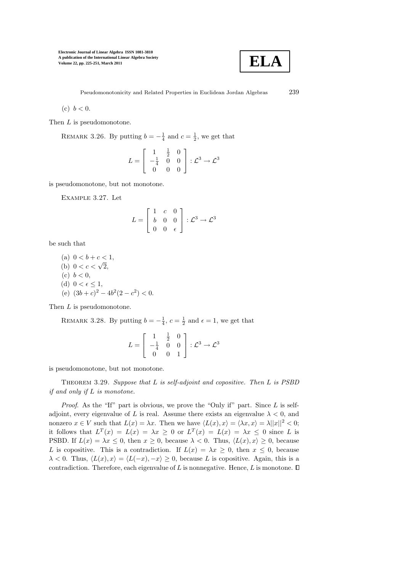

(c)  $b < 0$ .

Then L is pseudomonotone.

REMARK 3.26. By putting  $b = -\frac{1}{4}$  and  $c = \frac{1}{2}$ , we get that

$$
L = \begin{bmatrix} 1 & \frac{1}{2} & 0 \\ -\frac{1}{4} & 0 & 0 \\ 0 & 0 & 0 \end{bmatrix} : \mathcal{L}^3 \to \mathcal{L}^3
$$

is pseudomonotone, but not monotone.

Example 3.27. Let

$$
L = \left[ \begin{array}{ccc} 1 & c & 0 \\ b & 0 & 0 \\ 0 & 0 & \epsilon \end{array} \right] : \mathcal{L}^3 \to \mathcal{L}^3
$$

be such that

(a) 
$$
0 < b + c < 1
$$
,  
\n(b)  $0 < c < \sqrt{2}$ ,  
\n(c)  $b < 0$ ,  
\n(d)  $0 < \epsilon \le 1$ ,  
\n(e)  $(3b + c)^2 - 4b^2(2 - c^2) < 0$ .

Then L is pseudomonotone.

REMARK 3.28. By putting  $b = -\frac{1}{4}$ ,  $c = \frac{1}{2}$  and  $\epsilon = 1$ , we get that

$$
L = \begin{bmatrix} 1 & \frac{1}{2} & 0 \\ -\frac{1}{4} & 0 & 0 \\ 0 & 0 & 1 \end{bmatrix} : \mathcal{L}^3 \to \mathcal{L}^3
$$

is pseudomonotone, but not monotone.

THEOREM 3.29. Suppose that  $L$  is self-adjoint and copositive. Then  $L$  is PSBD if and only if L is monotone.

*Proof.* As the "If" part is obvious, we prove the "Only if" part. Since  $L$  is selfadjoint, every eigenvalue of L is real. Assume there exists an eigenvalue  $\lambda < 0$ , and nonzero  $x \in V$  such that  $L(x) = \lambda x$ . Then we have  $\langle L(x), x \rangle = \langle \lambda x, x \rangle = \lambda ||x||^2 < 0$ ; it follows that  $L^T(x) = L(x) = \lambda x \geq 0$  or  $L^T(x) = L(x) = \lambda x \leq 0$  since L is PSBD. If  $L(x) = \lambda x \leq 0$ , then  $x \geq 0$ , because  $\lambda < 0$ . Thus,  $\langle L(x), x \rangle \geq 0$ , because L is copositive. This is a contradiction. If  $L(x) = \lambda x > 0$ , then  $x \leq 0$ , because  $\lambda < 0$ . Thus,  $\langle L(x), x \rangle = \langle L(-x), -x \rangle \ge 0$ , because L is copositive. Again, this is a contradiction. Therefore, each eigenvalue of  $L$  is nonnegative. Hence,  $L$  is monotone.  $\square$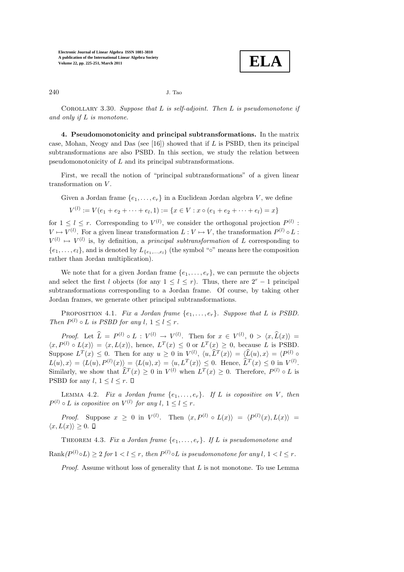

#### 240 J. Tao

COROLLARY 3.30. Suppose that  $L$  is self-adjoint. Then  $L$  is pseudomonotone if and only if L is monotone.

4. Pseudomonotonicity and principal subtransformations. In the matrix case, Mohan, Neogy and Das (see  $[16]$ ) showed that if  $L$  is PSBD, then its principal subtransformations are also PSBD. In this section, we study the relation between pseudomonotonicity of L and its principal subtransformations.

First, we recall the notion of "principal subtransformations" of a given linear transformation on  $V$ .

Given a Jordan frame  $\{e_1, \ldots, e_r\}$  in a Euclidean Jordan algebra V, we define

 $V^{(l)} := V(e_1 + e_2 + \cdots + e_l, 1) := \{x \in V : x \circ (e_1 + e_2 + \cdots + e_l) = x\}$ 

for  $1 \leq l \leq r$ . Corresponding to  $V^{(l)}$ , we consider the orthogonal projection  $P^{(l)}$ :  $V \mapsto V^{(l)}$ . For a given linear transformation  $L: V \mapsto V$ , the transformation  $P^{(l)} \circ L$ :  $V^{(l)} \mapsto V^{(l)}$  is, by definition, a *principal subtransformation* of L corresponding to  $\{e_1, \ldots, e_l\}$ , and is denoted by  $L_{\{e_1,\ldots,e_l\}}$  (the symbol " $\circ$ " means here the composition rather than Jordan multiplication).

We note that for a given Jordan frame  $\{e_1, \ldots, e_r\}$ , we can permute the objects and select the first l objects (for any  $1 \leq l \leq r$ ). Thus, there are  $2^r - 1$  principal subtransformations corresponding to a Jordan frame. Of course, by taking other Jordan frames, we generate other principal subtransformations.

PROPOSITION 4.1. Fix a Jordan frame  $\{e_1, \ldots, e_r\}$ . Suppose that L is PSBD. Then  $P^{(l)} \circ L$  is PSBD for any  $l, 1 \leq l \leq r$ .

Proof. Let  $\hat{L} = P^{(l)} \circ L : V^{(l)} \to V^{(l)}$ . Then for  $x \in V^{(l)}$ ,  $0 > \langle x, \hat{L}(x) \rangle =$  $\langle x, P^{(l)} \circ L(x) \rangle = \langle x, L(x) \rangle$ , hence,  $L^{T}(x) \leq 0$  or  $L^{T}(x) \geq 0$ , because L is PSBD. Suppose  $L^T(x) \leq 0$ . Then for any  $u \geq 0$  in  $V^{(l)}$ ,  $\langle u, \tilde{L}^T(x) \rangle = \langle \tilde{L}(u), x \rangle = \langle P^{(l)} \rangle$  $L(u),x\rangle = \langle L(u), P^{(l)}(x)\rangle = \langle L(u), x\rangle = \langle u, L^T(x)\rangle \leq 0.$  Hence,  $\hat{L}^T(x) \leq 0$  in  $V^{(l)}$ . Similarly, we show that  $\hat{L}^T(x) \geq 0$  in  $V^{(l)}$  when  $L^T(x) \geq 0$ . Therefore,  $P^{(l)} \circ L$  is PSBD for any  $l, 1 \leq l \leq r$ .  $\Box$ 

LEMMA 4.2. Fix a Jordan frame  $\{e_1, \ldots, e_r\}$ . If L is copositive on V, then  $P^{(l)} \circ L$  is copositive on  $V^{(l)}$  for any  $l, 1 \leq l \leq r$ .

*Proof.* Suppose  $x \geq 0$  in  $V^{(l)}$ . Then  $\langle x, P^{(l)} \circ L(x) \rangle = \langle P^{(l)}(x), L(x) \rangle =$  $\langle x, L(x)\rangle \geq 0. \ \Box$ 

THEOREM 4.3. Fix a Jordan frame  $\{e_1, \ldots, e_r\}$ . If L is pseudomonotone and  $\mathrm{Rank}(P^{(l)} \circ L) \geq 2$  for  $1 < l \leq r$ , then  $P^{(l)} \circ L$  is pseudomonotone for any  $l, 1 < l \leq r$ .

*Proof.* Assume without loss of generality that  $L$  is not monotone. To use Lemma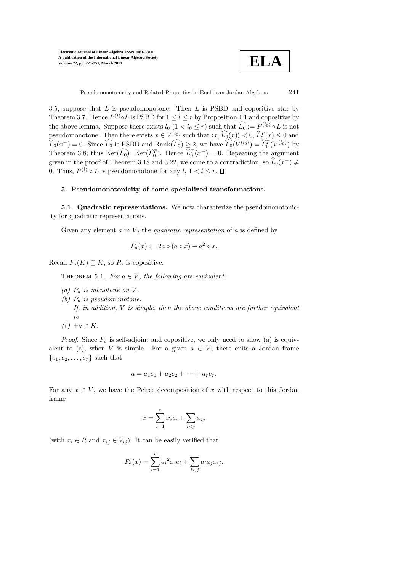

Pseudomonotonicity and Related Properties in Euclidean Jordan Algebras 241

3.5, suppose that  $L$  is pseudomonotone. Then  $L$  is PSBD and copositive star by Theorem 3.7. Hence  $P^{(l)} \circ L$  is PSBD for  $1 \leq l \leq r$  by Proposition 4.1 and copositive by the above lemma. Suppose there exists  $l_0$   $(1 < l_0 \leq r)$  such that  $\widehat{L_0} := P^{(l_0)} \circ L$  is not pseudomonotone. Then there exists  $x \in V^{(l_0)}$  such that  $\langle x, \tilde{L}_0(x) \rangle < 0, \tilde{L}_0^T(x) \le 0$  and  $\widehat{L}_0(x^-) = 0$ . Since  $\widehat{L}_0$  is PSBD and Rank $(\widehat{L}_0) \geq 2$ , we have  $\widehat{L}_0(V^{(l_0)}) = \widehat{L}_0^T(V^{(l_0)})$  by Theorem 3.8; thus  $\text{Ker}(\widehat{L}_0) = \text{Ker}(\widehat{L}_0^T)$ . Hence  $\widehat{L}_0^T(x^-) = 0$ . Repeating the argument given in the proof of Theorem 3.18 and 3.22, we come to a contradiction, so  $\widehat{L}_0(x^-) \neq 0$ 0. Thus,  $P^{(l)} \circ L$  is pseudomonotone for any  $l, 1 < l \leq r$ .

# 5. Pseudomonotonicity of some specialized transformations.

5.1. Quadratic representations. We now characterize the pseudomonotonicity for quadratic representations.

Given any element  $a$  in  $V$ , the *quadratic representation* of  $a$  is defined by

$$
P_a(x) := 2a \circ (a \circ x) - a^2 \circ x.
$$

Recall  $P_a(K) \subseteq K$ , so  $P_a$  is copositive.

THEOREM 5.1. For  $a \in V$ , the following are equivalent:

- (a)  $P_a$  is monotone on V.
- (b)  $P_a$  is pseudomonotone.
- If, in addition,  $V$  is simple, then the above conditions are further equivalent to
- $(c) \pm a \in K$ .

*Proof.* Since  $P_a$  is self-adjoint and copositive, we only need to show (a) is equivalent to (c), when V is simple. For a given  $a \in V$ , there exits a Jordan frame  ${e_1, e_2, \ldots, e_r}$  such that

$$
a = a_1e_1 + a_2e_2 + \cdots + a_re_r.
$$

For any  $x \in V$ , we have the Peirce decomposition of x with respect to this Jordan frame

$$
x = \sum_{i=1}^{r} x_i e_i + \sum_{i < j} x_{ij}
$$

(with  $x_i \in R$  and  $x_{ij} \in V_{ij}$ ). It can be easily verified that

$$
P_a(x) = \sum_{i=1}^r a_i^2 x_i e_i + \sum_{i < j} a_i a_j x_{ij}.
$$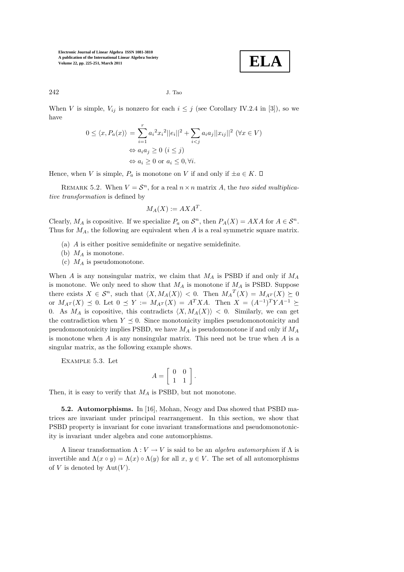$$
\mathbf{ELA}
$$

$$
242 \t\t\t J. Tao
$$

When V is simple,  $V_{ij}$  is nonzero for each  $i \leq j$  (see Corollary IV.2.4 in [3]), so we have

$$
0 \le \langle x, P_a(x) \rangle = \sum_{i=1}^r a_i^2 x_i^2 ||e_i||^2 + \sum_{i < j} a_i a_j ||x_{ij}||^2 \quad (\forall x \in V)
$$
\n
$$
\Leftrightarrow a_i a_j \ge 0 \quad (i \le j)
$$
\n
$$
\Leftrightarrow a_i \ge 0 \text{ or } a_i \le 0, \forall i.
$$

Hence, when V is simple,  $P_a$  is monotone on V if and only if  $\pm a \in K$ .  $\Box$ 

REMARK 5.2. When  $V = \mathcal{S}^n$ , for a real  $n \times n$  matrix A, the two sided multiplicative transformation is defined by

$$
M_A(X) := AXA^T.
$$

Clearly,  $M_A$  is copositive. If we specialize  $P_a$  on  $S^n$ , then  $P_A(X) = AXA$  for  $A \in S^n$ . Thus for  $M_A$ , the following are equivalent when A is a real symmetric square matrix.

- (a) A is either positive semidefinite or negative semidefinite.
- (b)  $M_A$  is monotone.
- (c)  $M_A$  is pseudomonotone.

When A is any nonsingular matrix, we claim that  $M_A$  is PSBD if and only if  $M_A$ is monotone. We only need to show that  $M_A$  is monotone if  $M_A$  is PSBD. Suppose there exists  $X \in \mathcal{S}^n$ , such that  $\langle X, M_A(X) \rangle < 0$ . Then  $M_A^T(X) = M_{A^T}(X) \geq 0$ or  $M_{A^T}(X) \preceq 0$ . Let  $0 \preceq Y := M_{A^T}(X) = A^T X A$ . Then  $X = (A^{-1})^T Y A^{-1} \succeq$ 0. As  $M_A$  is copositive, this contradicts  $\langle X, M_A(X) \rangle$  < 0. Similarly, we can get the contradiction when  $Y \preceq 0$ . Since monotonicity implies pseudomonotonicity and pseudomonotonicity implies PSBD, we have  $M_A$  is pseudomonotone if and only if  $M_A$ is monotone when A is any nonsingular matrix. This need not be true when A is a singular matrix, as the following example shows.

Example 5.3. Let

$$
A = \left[ \begin{array}{cc} 0 & 0 \\ 1 & 1 \end{array} \right].
$$

Then, it is easy to verify that  $M_A$  is PSBD, but not monotone.

5.2. Automorphisms. In [16], Mohan, Neogy and Das showed that PSBD matrices are invariant under principal rearrangement. In this section, we show that PSBD property is invariant for cone invariant transformations and pseudomonotonicity is invariant under algebra and cone automorphisms.

A linear transformation  $\Lambda: V \to V$  is said to be an *algebra automorphism* if  $\Lambda$  is invertible and  $\Lambda(x \circ y) = \Lambda(x) \circ \Lambda(y)$  for all  $x, y \in V$ . The set of all automorphisms of V is denoted by  $Aut(V)$ .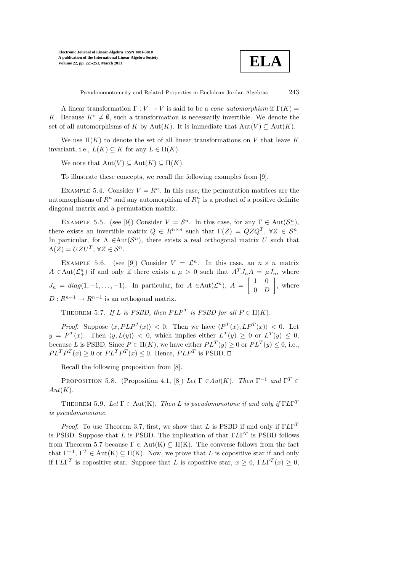

Pseudomonotonicity and Related Properties in Euclidean Jordan Algebras 243

A linear transformation  $\Gamma: V \to V$  is said to be a *cone automorphism* if  $\Gamma(K) =$ K. Because  $K^{\circ} \neq \emptyset$ , such a transformation is necessarily invertible. We denote the set of all automorphisms of K by Aut(K). It is immediate that  $Aut(V) \subseteq Aut(K)$ .

We use  $\Pi(K)$  to denote the set of all linear transformations on V that leave K invariant, i.e.,  $L(K) \subseteq K$  for any  $L \in \Pi(K)$ .

We note that  $\text{Aut}(V) \subseteq \text{Aut}(K) \subseteq \Pi(K)$ .

To illustrate these concepts, we recall the following examples from [9].

EXAMPLE 5.4. Consider  $V = R<sup>n</sup>$ . In this case, the permutation matrices are the automorphisms of  $R^n$  and any automorphism of  $R^n_+$  is a product of a positive definite diagonal matrix and a permutation matrix.

EXAMPLE 5.5. (see [9]) Consider  $V = S^n$ . In this case, for any  $\Gamma \in Aut(S^n_+)$ , there exists an invertible matrix  $Q \in R^{n \times n}$  such that  $\Gamma(Z) = QZQ^T$ ,  $\forall Z \in S^n$ . In particular, for  $\Lambda \in \text{Aut}(\mathcal{S}^n)$ , there exists a real orthogonal matrix U such that  $\Lambda(Z) = UZU^{T}, \forall Z \in \mathcal{S}^{n}.$ 

EXAMPLE 5.6. (see [9]) Consider  $V = \mathcal{L}^n$ . In this case, an  $n \times n$  matrix  $A \in Aut(\mathcal{L}_+^n)$  if and only if there exists a  $\mu > 0$  such that  $A^T J_n A = \mu J_n$ , where  $J_n = diag(1, -1, \ldots, -1)$ . In particular, for  $A \in Aut(\mathcal{L}^n)$ ,  $A = \begin{bmatrix} 1 & 0 \\ 0 & D \end{bmatrix}$  $0$  D 1 , where  $D: R^{n-1} \to R^{n-1}$  is an orthogonal matrix.

THEOREM 5.7. If L is PSBD, then  $PLP<sup>T</sup>$  is PSBD for all  $P \in \Pi(K)$ .

*Proof.* Suppose  $\langle x, PLP^T(x) \rangle < 0$ . Then we have  $\langle P^T(x), LP^T(x) \rangle < 0$ . Let  $y = P^T(x)$ . Then  $\langle y, L(y) \rangle < 0$ , which implies either  $L^T(y) \geq 0$  or  $L^T(y) \leq 0$ , because L is PSBD. Since  $P \in \Pi(K)$ , we have either  $PL^T(y) \geq 0$  or  $PL^T(y) \leq 0$ , i.e.,  $PL^T P^T(x) \geq 0$  or  $PL^T P^T(x) \leq 0$ . Hence,  $PLP^T$  is PSBD.

Recall the following proposition from [8].

PROPOSITION 5.8. (Proposition 4.1, [8]) Let  $\Gamma \in Aut(K)$ . Then  $\Gamma^{-1}$  and  $\Gamma^{T} \in$  $Aut(K).$ 

THEOREM 5.9. Let  $\Gamma \in \text{Aut}(\mathcal{K})$ . Then L is pseudomonotone if and only if  $\Gamma L\Gamma^T$ is pseudomonotone.

*Proof.* To use Theorem 3.7, first, we show that L is PSBD if and only if  $\Gamma L\Gamma^T$ is PSBD. Suppose that L is PSBD. The implication of that  $\Gamma L\Gamma^T$  is PSBD follows from Theorem 5.7 because  $\Gamma \in Aut(K) \subseteq \Pi(K)$ . The converse follows from the fact that  $\Gamma^{-1}$ ,  $\Gamma^{T} \in \text{Aut}(\mathcal{K}) \subseteq \Pi(\mathcal{K})$ . Now, we prove that L is copositive star if and only if  $TL\Gamma^T$  is copositive star. Suppose that L is copositive star,  $x \geq 0$ ,  $TL\Gamma^T(x) \geq 0$ ,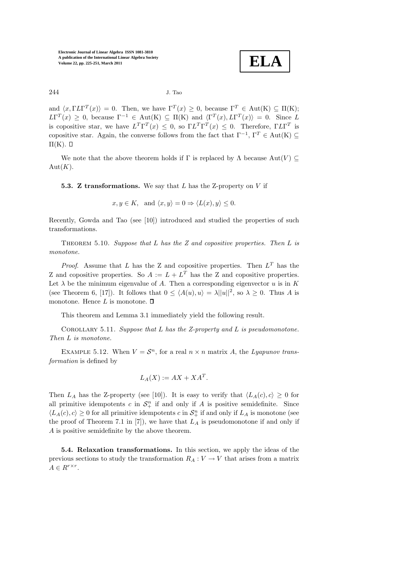**ELA**

$$
244 \t\t\t J. Tao
$$

and  $\langle x, \Gamma L \Gamma^{T}(x) \rangle = 0$ . Then, we have  $\Gamma^{T}(x) \geq 0$ , because  $\Gamma^{T} \in \text{Aut}(\mathcal{K}) \subseteq \Pi(\mathcal{K});$  $LT^{T}(x) \geq 0$ , because  $\Gamma^{-1} \in Aut(K) \subseteq \Pi(K)$  and  $\langle \Gamma^{T}(x), L\Gamma^{T}(x) \rangle = 0$ . Since L is copositive star, we have  $L^T\Gamma^T(x) \leq 0$ , so  $\Gamma L^T\Gamma^T(x) \leq 0$ . Therefore,  $\Gamma L\Gamma^T$  is copositive star. Again, the converse follows from the fact that  $\Gamma^{-1}$ ,  $\Gamma^{T} \in \text{Aut}(\mathbf{K}) \subseteq$  $\Pi(K)$ .  $\square$ 

We note that the above theorem holds if  $\Gamma$  is replaced by  $\Lambda$  because  $Aut(V) \subseteq$  $Aut(K).$ 

**5.3. Z transformations.** We say that  $L$  has the Z-property on  $V$  if

 $x, y \in K$ , and  $\langle x, y \rangle = 0 \Rightarrow \langle L(x), y \rangle \le 0$ .

Recently, Gowda and Tao (see [10]) introduced and studied the properties of such transformations.

THEOREM 5.10. Suppose that  $L$  has the  $Z$  and copositive properties. Then  $L$  is monotone.

*Proof.* Assume that L has the Z and copositive properties. Then  $L^T$  has the Z and copositive properties. So  $A := L + L^T$  has the Z and copositive properties. Let  $\lambda$  be the minimum eigenvalue of A. Then a corresponding eigenvector u is in K (see Theorem 6, [17]). It follows that  $0 \le \langle A(u), u \rangle = \lambda ||u||^2$ , so  $\lambda \ge 0$ . Thus A is monotone. Hence  $L$  is monotone.  $\square$ 

This theorem and Lemma 3.1 immediately yield the following result.

COROLLARY 5.11. Suppose that  $L$  has the Z-property and  $L$  is pseudomonotone. Then L is monotone.

EXAMPLE 5.12. When  $V = \mathcal{S}^n$ , for a real  $n \times n$  matrix A, the Lyapunov transformation is defined by

$$
L_A(X) := AX + XA^T.
$$

Then  $L_A$  has the Z-property (see [10]). It is easy to verify that  $\langle L_A(c), c \rangle \geq 0$  for all primitive idempotents  $c$  in  $\mathcal{S}^n_+$  if and only if  $A$  is positive semidefinite. Since  $\langle L_A(c), c \rangle \ge 0$  for all primitive idempotents  $c$  in  $\mathcal{S}_{+}^n$  if and only if  $L_A$  is monotone (see the proof of Theorem 7.1 in [7]), we have that  $L_A$  is pseudomonotone if and only if A is positive semidefinite by the above theorem.

5.4. Relaxation transformations. In this section, we apply the ideas of the previous sections to study the transformation  $R_A: V \to V$  that arises from a matrix  $A \in R^{r \times r}$ .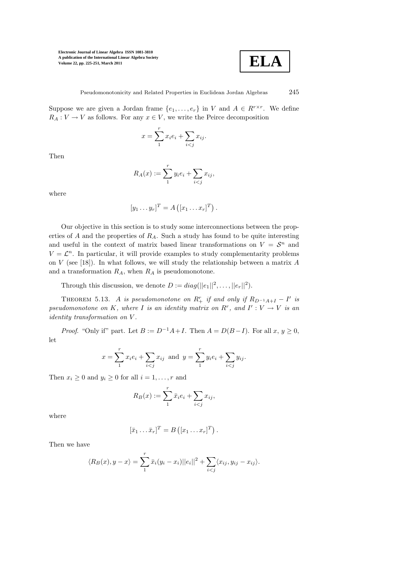

Suppose we are given a Jordan frame  $\{e_1, \ldots, e_r\}$  in V and  $A \in R^{r \times r}$ . We define  $R_A: V \to V$  as follows. For any  $x \in V$ , we write the Peirce decomposition

$$
x = \sum_{1}^{r} x_i e_i + \sum_{i < j} x_{ij}.
$$

Then

$$
R_A(x) := \sum_{1}^{r} y_i e_i + \sum_{i < j} x_{ij},
$$

where

$$
[y_1 \dots y_r]^T = A\left([x_1 \dots x_r]^T\right).
$$

Our objective in this section is to study some interconnections between the properties of A and the properties of  $R_A$ . Such a study has found to be quite interesting and useful in the context of matrix based linear transformations on  $V = \mathcal{S}^n$  and  $V = \mathcal{L}^n$ . In particular, it will provide examples to study complementarity problems on  $V$  (see [18]). In what follows, we will study the relationship between a matrix  $A$ and a transformation  $R_A$ , when  $R_A$  is pseudomonotone.

Through this discussion, we denote  $D := diag(||e_1||^2, \ldots, ||e_r||^2)$ .

THEOREM 5.13. A is pseudomonotone on  $R_+^r$  if and only if  $R_{D^{-1}A+I} - I'$  is pseudomonotone on K, where I is an identity matrix on  $R^r$ , and  $I': V \to V$  is an identity transformation on V .

*Proof.* "Only if" part. Let  $B := D^{-1}A + I$ . Then  $A = D(B - I)$ . For all  $x, y \ge 0$ , let

$$
x = \sum_{1}^{r} x_i e_i + \sum_{i < j} x_{ij}
$$
 and  $y = \sum_{1}^{r} y_i e_i + \sum_{i < j} y_{ij}$ .

Then  $x_i \geq 0$  and  $y_i \geq 0$  for all  $i = 1, \ldots, r$  and

$$
R_B(x) := \sum_{1}^{r} \bar{x}_i e_i + \sum_{i < j} x_{ij},
$$

where

$$
[\bar{x}_1 \dots \bar{x}_r]^T = B([x_1 \dots x_r]^T).
$$

Then we have

$$
\langle R_B(x), y - x \rangle = \sum_{i=1}^{r} \bar{x}_i (y_i - x_i) ||e_i||^2 + \sum_{i < j} \langle x_{ij}, y_{ij} - x_{ij} \rangle.
$$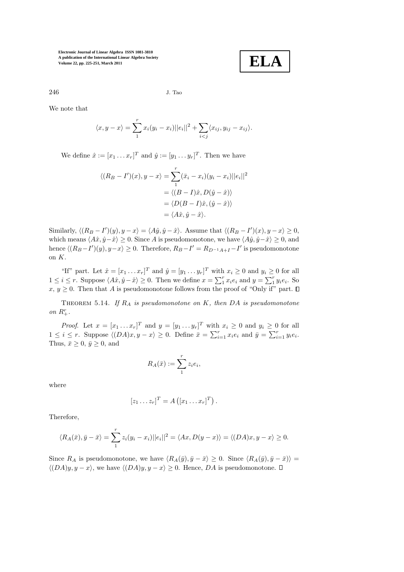

246 J. Tao

We note that

$$
\langle x, y - x \rangle = \sum_{1}^{r} x_i (y_i - x_i) ||e_i||^2 + \sum_{i < j} \langle x_{ij}, y_{ij} - x_{ij} \rangle.
$$

We define  $\hat{x} := [x_1 \dots x_r]^T$  and  $\hat{y} := [y_1 \dots y_r]^T$ . Then we have

$$
\langle (R_B - I')(x), y - x \rangle = \sum_{1}^{r} (\bar{x}_i - x_i)(y_i - x_i) ||e_i||^2
$$

$$
= \langle (B - I)\hat{x}, D(\hat{y} - \hat{x}) \rangle
$$

$$
= \langle D(B - I)\hat{x}, (\hat{y} - \hat{x}) \rangle
$$

$$
= \langle A\hat{x}, \hat{y} - \hat{x} \rangle.
$$

Similarly,  $\langle (R_B - I')(y), y - x \rangle = \langle A\hat{y}, \hat{y} - \hat{x} \rangle$ . Assume that  $\langle (R_B - I')(x), y - x \rangle \ge 0$ , which means  $\langle A\hat{x}, \hat{y}-\hat{x}\rangle \geq 0$ . Since A is pseudomonotone, we have  $\langle A\hat{y}, \hat{y}-\hat{x}\rangle \geq 0$ , and hence  $\langle (R_B - I')(y), y - x \rangle \ge 0$ . Therefore,  $R_B - I' = R_{D^{-1}A+I} - I'$  is pseudomonotone on K.

"If" part. Let  $\hat{x} = [x_1 \dots x_r]^T$  and  $\hat{y} = [y_1 \dots y_r]^T$  with  $x_i \ge 0$  and  $y_i \ge 0$  for all  $1 \leq i \leq r$ . Suppose  $\langle A\hat{x}, \hat{y} - \hat{x} \rangle \geq 0$ . Then we define  $x = \sum_{i=1}^{r} x_i e_i$  and  $y = \sum_{i=1}^{r} y_i e_i$ . So  $x, y \geq 0$ . Then that A is pseudomonotone follows from the proof of "Only if" part.  $\Box$ 

THEOREM 5.14. If  $R_A$  is pseudomonotone on K, then DA is pseudomonotone on  $R_+^r$ .

*Proof.* Let  $x = [x_1 \dots x_r]^T$  and  $y = [y_1 \dots y_r]^T$  with  $x_i \ge 0$  and  $y_i \ge 0$  for all  $1 \leq i \leq r$ . Suppose  $\langle (DA)x, y - x \rangle \geq 0$ . Define  $\bar{x} = \sum_{i=1}^{r} x_i e_i$  and  $\bar{y} = \sum_{i=1}^{r} y_i e_i$ . Thus,  $\bar{x} \geq 0$ ,  $\bar{y} \geq 0$ , and

$$
R_A(\bar{x}) := \sum_{1}^{r} z_i e_i,
$$

where

$$
[z_1 \dots z_r]^T = A([x_1 \dots x_r]^T).
$$

Therefore,

$$
\langle R_A(\bar{x}), \bar{y} - \bar{x} \rangle = \sum_{1}^{r} z_i (y_i - x_i) ||e_i||^2 = \langle Ax, D(y - x) \rangle = \langle (DA)x, y - x \rangle \ge 0.
$$

Since  $R_A$  is pseudomonotone, we have  $\langle R_A(\bar{y}), \bar{y}-\bar{x}\rangle \geq 0$ . Since  $\langle R_A(\bar{y}), \bar{y}-\bar{x}\rangle$  =  $\langle (DA)y, y-x \rangle$ , we have  $\langle (DA)y, y-x \rangle \geq 0$ . Hence, DA is pseudomonotone.  $\Box$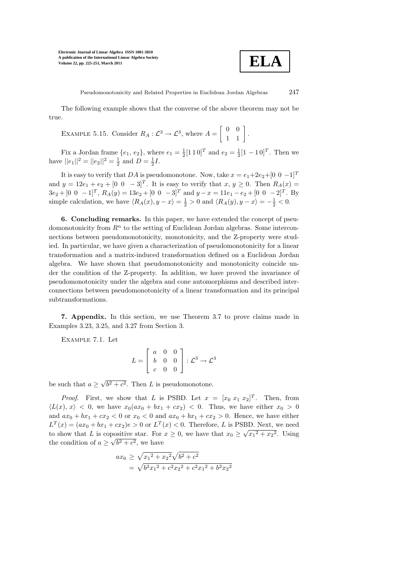

Pseudomonotonicity and Related Properties in Euclidean Jordan Algebras 247

The following example shows that the converse of the above theorem may not be true.

EXAMPLE 5.15. Consider  $R_A: \mathcal{L}^3 \to \mathcal{L}^3$ , where  $A =$  $\left[\begin{array}{cc} 0 & 0 \\ 1 & 1 \end{array}\right]$ .

Fix a Jordan frame  $\{e_1, e_2\}$ , where  $e_1 = \frac{1}{2} [1 \ 1 \ 0]^T$  and  $e_2 = \frac{1}{2} [1 \ -1 \ 0]^T$ . Then we have  $||e_1||^2 = ||e_2||^2 = \frac{1}{2}$  and  $D = \frac{1}{2}I$ .

It is easy to verify that DA is pseudomonotone. Now, take  $x = e_1 + 2e_2 + [0 \ 0 \ -1]^T$ and  $y = 12e_1 + e_2 + [0 \ 0 \ -3]^T$ . It is easy to verify that  $x, y \ge 0$ . Then  $R_A(x) =$  $3e_2 + [0 \ 0 \ -1]^T$ ,  $R_A(y) = 13e_2 + [0 \ 0 \ -3]^T$  and  $y - x = 11e_1 - e_2 + [0 \ 0 \ -2]^T$ . By simple calculation, we have  $\langle R_A(x), y - x \rangle = \frac{1}{2} > 0$  and  $\langle R_A(y), y - x \rangle = -\frac{1}{2} < 0$ .

6. Concluding remarks. In this paper, we have extended the concept of pseudomonotonicity from  $R<sup>n</sup>$  to the setting of Euclidean Jordan algebras. Some interconnections between pseudomonotonicity, monotonicity, and the Z-property were studied. In particular, we have given a characterization of pseudomonotonicity for a linear transformation and a matrix-induced transformation defined on a Euclidean Jordan algebra. We have shown that pseudomonotonicity and monotonicity coincide under the condition of the Z-property. In addition, we have proved the invariance of pseudomonotonicity under the algebra and cone automorphisms and described interconnections between pseudomonotonicity of a linear transformation and its principal subtransformations.

7. Appendix. In this section, we use Theorem 3.7 to prove claims made in Examples 3.23, 3.25, and 3.27 from Section 3.

Example 7.1. Let

$$
L = \begin{bmatrix} a & 0 & 0 \\ b & 0 & 0 \\ c & 0 & 0 \end{bmatrix} : \mathcal{L}^3 \to \mathcal{L}^3
$$

be such that  $a \ge \sqrt{b^2 + c^2}$ . Then L is pseudomonotone.

*Proof.* First, we show that L is PSBD. Let  $x = [x_0 \ x_1 \ x_2]^T$ . Then, from  $\langle L(x), x \rangle < 0$ , we have  $x_0(ax_0 + bx_1 + cx_2) < 0$ . Thus, we have either  $x_0 > 0$ and  $ax_0 + bx_1 + cx_2 < 0$  or  $x_0 < 0$  and  $ax_0 + bx_1 + cx_2 > 0$ . Hence, we have either  $L^T(x) = (ax_0 + bx_1 + cx_2)e > 0$  or  $L^T(x) < 0$ . Therefore, L is PSBD. Next, we need to show that L is copositive star. For  $x \ge 0$ , we have that  $x_0 \ge \sqrt{x_1^2 + x_2^2}$ . Using the condition of  $a \ge \sqrt{b^2 + c^2}$ , we have

$$
ax_0 \ge \sqrt{x_1^2 + x_2^2} \sqrt{b^2 + c^2}
$$
  
=  $\sqrt{b^2 x_1^2 + c^2 x_2^2 + c^2 x_1^2 + b^2 x_2^2}$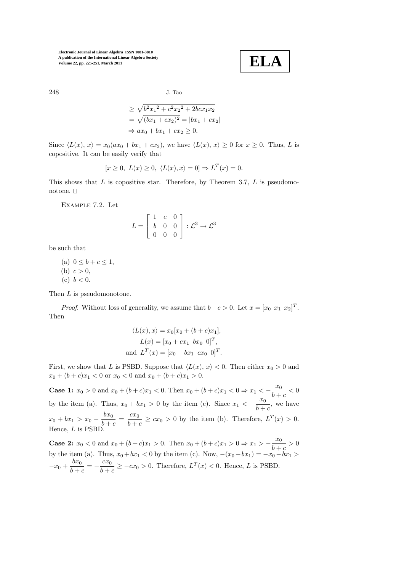**ELA**

248 J. Tao

$$
\geq \sqrt{b^2 x_1^2 + c^2 x_2^2 + 2bc x_1 x_2} \n= \sqrt{(bx_1 + cx_2)^2} = |bx_1 + cx_2| \n\Rightarrow ax_0 + bx_1 + cx_2 \geq 0.
$$

Since  $\langle L(x), x \rangle = x_0(ax_0 + bx_1 + cx_2)$ , we have  $\langle L(x), x \rangle \ge 0$  for  $x \ge 0$ . Thus, L is copositive. It can be easily verify that

$$
[x \ge 0, L(x) \ge 0, \langle L(x), x \rangle = 0] \Rightarrow L^T(x) = 0.
$$

This shows that  $L$  is copositive star. Therefore, by Theorem 3.7,  $L$  is pseudomonotone.  $\square$ 

Example 7.2. Let

$$
L = \begin{bmatrix} 1 & c & 0 \\ b & 0 & 0 \\ 0 & 0 & 0 \end{bmatrix} : \mathcal{L}^3 \to \mathcal{L}^3
$$

be such that

- (a)  $0 \leq b + c \leq 1$ , (b)  $c > 0$ ,
- (c)  $b < 0$ .

Then L is pseudomonotone.

*Proof.* Without loss of generality, we assume that  $b+c > 0$ . Let  $x = [x_0 \ x_1 \ x_2]^T$ . Then

$$
\langle L(x), x \rangle = x_0[x_0 + (b + c)x_1],
$$
  
\n
$$
L(x) = [x_0 + cx_1 \quad bx_0 \quad 0]^T,
$$
  
\nand 
$$
L^T(x) = [x_0 + bx_1 \quad cx_0 \quad 0]^T.
$$

First, we show that L is PSBD. Suppose that  $\langle L(x), x \rangle < 0$ . Then either  $x_0 > 0$  and  $x_0 + (b + c)x_1 < 0$  or  $x_0 < 0$  and  $x_0 + (b + c)x_1 > 0$ .

**Case 1:**  $x_0 > 0$  and  $x_0 + (b + c)x_1 < 0$ . Then  $x_0 + (b + c)x_1 < 0 \Rightarrow x_1 < -\frac{x_0}{b+1}$  $\frac{1}{b+c} < 0$ by the item (a). Thus,  $x_0 + bx_1 > 0$  by the item (c). Since  $x_1 < -\frac{x_0}{b+c}$ , we have  $b + c$  $x_0 + bx_1 > x_0 - \frac{bx_0}{b+1}$  $\frac{bx_0}{b+c} = \frac{cx_0}{b+c}$  $\frac{dx_0}{b+c} \geq cx_0 > 0$  by the item (b). Therefore,  $L^T(x) > 0$ . Hence, L is PSBD.

**Case 2:**  $x_0 < 0$  and  $x_0 + (b+c)x_1 > 0$ . Then  $x_0 + (b+c)x_1 > 0 \Rightarrow x_1 > -\frac{x_0}{b+b}$  $\frac{1}{b+c} > 0$ by the item (a). Thus,  $x_0 + bx_1 < 0$  by the item (c). Now,  $-(x_0 + bx_1) = -x_0 - bx_1 >$  $-x_0 + \frac{bx_0}{b+1}$  $\frac{bx_0}{b+c} = -\frac{cx_0}{b+c}$  $\frac{c\omega_0}{b+c} \geq -cx_0 > 0$ . Therefore,  $L^T(x) < 0$ . Hence, L is PSBD.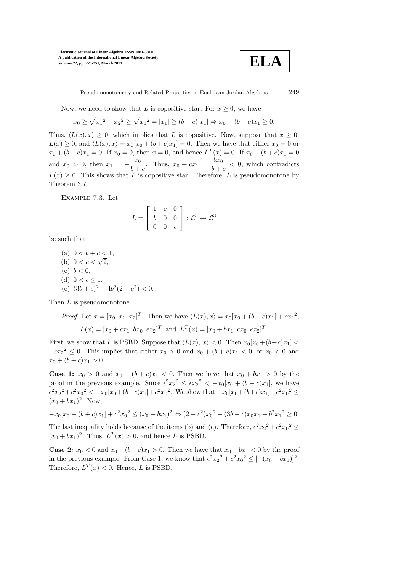

Pseudomonotonicity and Related Properties in Euclidean Jordan Algebras 249

Now, we need to show that L is copositive star. For  $x \geq 0$ , we have

$$
x_0 \ge \sqrt{x_1^2 + x_2^2} \ge \sqrt{x_1^2} = |x_1| \ge (b+c)|x_1| \Rightarrow x_0 + (b+c)x_1 \ge 0.
$$

Thus,  $\langle L(x), x \rangle \geq 0$ , which implies that L is copositive. Now, suppose that  $x \geq 0$ ,  $L(x) \geq 0$ , and  $\langle L(x), x \rangle = x_0[x_0 + (b+c)x_1] = 0$ . Then we have that either  $x_0 = 0$  or  $x_0 + (b+c)x_1 = 0$ . If  $x_0 = 0$ , then  $x = 0$ , and hence  $L^T(x) = 0$ . If  $x_0 + (b+c)x_1 = 0$ and  $x_0 > 0$ , then  $x_1 = -\frac{x_0}{b+1}$  $\frac{x_0}{b+c}$ . Thus,  $x_0 + cx_1 = \frac{bx_0}{b+c}$  $\frac{\partial u_0}{\partial + c}$  < 0, which contradicts  $L(x) \geq 0$ . This shows that L is copositive star. Therefore, L is pseudomonotone by Theorem 3.7.  $\square$ 

Example 7.3. Let

$$
L = \left[ \begin{array}{ccc} 1 & c & 0 \\ b & 0 & 0 \\ 0 & 0 & \epsilon \end{array} \right] : \mathcal{L}^3 \to \mathcal{L}^3
$$

be such that

(a) 
$$
0 < b + c < 1
$$
,  
\n(b)  $0 < c < \sqrt{2}$ ,  
\n(c)  $b < 0$ ,  
\n(d)  $0 < \epsilon \le 1$ ,  
\n(e)  $(3b + c)^2 - 4b^2(2 - c^2) <$ 

Then L is pseudomonotone.

*Proof.* Let  $x = [x_0 \ x_1 \ x_2]^T$ . Then we have  $\langle L(x), x \rangle = x_0[x_0 + (b+c)x_1] + \epsilon x_2^2$ ,  $L(x) = [x_0 + cx_1 \ \ bx_0 \ \epsilon x_2]^T$  and  $L^T(x) = [x_0 + bx_1 \ cx_0 \ \epsilon x_2]^T$ .

First, we show that L is PSBD. Suppose that  $\langle L(x), x \rangle < 0$ . Then  $x_0[x_0+(b+c)x_1] <$  $-\epsilon x_2^2 \leq 0$ . This implies that either  $x_0 > 0$  and  $x_0 + (b + c)x_1 < 0$ , or  $x_0 < 0$  and  $x_0 + (b + c)x_1 > 0.$ 

 $\overline{0}$ .

**Case 1:**  $x_0 > 0$  and  $x_0 + (b + c)x_1 < 0$ . Then we have that  $x_0 + bx_1 > 0$  by the proof in the previous example. Since  $\epsilon^2 x_2^2 \leq \epsilon x_2^2 < -x_0[x_0 + (b+c)x_1]$ , we have  $\epsilon^2 x_2^2 + c^2 x_0^2 < -x_0[x_0 + (b+c)x_1] + c^2 x_0^2$ . We show that  $-x_0[x_0 + (b+c)x_1] + c^2 x_0^2 \le$  $(x_0 + bx_1)^2$ . Now,

$$
-x_0[x_0 + (b+c)x_1] + c^2x_0^2 \le (x_0 + bx_1)^2 \Leftrightarrow (2-c^2)x_0^2 + (3b+c)x_0x_1 + b^2x_1^2 \ge 0.
$$

The last inequality holds because of the items (b) and (e). Therefore,  $\epsilon^2 x_2^2 + c^2 x_0^2 \le$  $(x_0 + bx_1)^2$ . Thus,  $L^T(x) > 0$ , and hence L is PSBD.

**Case 2:**  $x_0 < 0$  and  $x_0 + (b+c)x_1 > 0$ . Then we have that  $x_0 + bx_1 < 0$  by the proof in the previous example. From Case 1, we know that  $\epsilon^2 x_2^2 + c^2 x_0^2 \leq [-(x_0 + bx_1)]^2$ . Therefore,  $L^T(x) < 0$ . Hence, L is PSBD.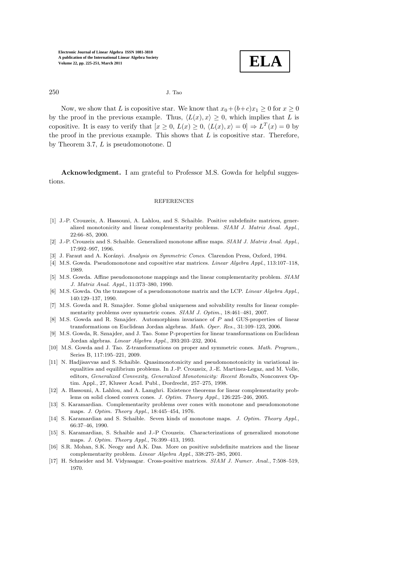

250 J. Tao

Now, we show that L is copositive star. We know that  $x_0+(b+c)x_1 \geq 0$  for  $x \geq 0$ by the proof in the previous example. Thus,  $\langle L(x), x \rangle \geq 0$ , which implies that L is copositive. It is easy to verify that  $[x \ge 0, L(x) \ge 0, (L(x), x) = 0] \Rightarrow L^T(x) = 0$  by the proof in the previous example. This shows that  $L$  is copositive star. Therefore, by Theorem 3.7,  $L$  is pseudomonotone.  $\square$ 

Acknowledgment. I am grateful to Professor M.S. Gowda for helpful suggestions.

### REFERENCES

- [1] J.-P. Crouzeix, A. Hassouni, A. Lahlou, and S. Schaible. Positive subdefinite matrices, generalized monotonicity and linear complementarity problems. SIAM J. Matrix Anal. Appl., 22:66–85, 2000.
- [2] J.-P. Crouzeix and S. Schaible. Generalized monotone affine maps. SIAM J. Matrix Anal. Appl., 17:992–997, 1996.
- [3] J. Faraut and A. Korányi. Analysis on Symmetric Cones. Clarendon Press, Oxford, 1994.
- [4] M.S. Gowda. Pseudomonotone and copositive star matrices. Linear Algebra Appl., 113:107–118, 1989.
- [5] M.S. Gowda. Affine pseudomonotone mappings and the linear complementarity problem. SIAM J. Matrix Anal. Appl., 11:373–380, 1990.
- [6] M.S. Gowda. On the transpose of a pseudomonotone matrix and the LCP. Linear Algebra Appl., 140:129–137, 1990.
- [7] M.S. Gowda and R. Sznajder. Some global uniqueness and solvability results for linear complementarity problems over symmetric cones. SIAM J. Optim., 18:461–481, 2007.
- [8] M.S. Gowda and R. Sznajder. Automorphism invariance of P and GUS-properties of linear transformations on Euclidean Jordan algebras. Math. Oper. Res., 31:109–123, 2006.
- [9] M.S. Gowda, R. Sznajder, and J. Tao. Some P-properties for linear transformations on Euclidean Jordan algebras. Linear Algebra Appl., 393:203–232, 2004.
- [10] M.S. Gowda and J. Tao. Z-transformations on proper and symmetric cones. Math. Program., Series B, 117:195–221, 2009.
- [11] N. Hadjisavvas and S. Schaible. Quasimonotonicity and pseudomonotonicity in variational inequalities and equilibrium problems. In J.-P. Crouzeix, J.-E. Martinez-Legaz, and M. Volle, editors, Generalized Convexity, Generalized Monotonicity: Recent Results, Nonconvex Optim. Appl., 27, Kluwer Acad. Publ., Dordrecht, 257–275, 1998.
- [12] A. Hassouni, A. Lahlou, and A. Lamghri. Existence theorems for linear complementarity problems on solid closed convex cones. J. Optim. Theory Appl., 126:225–246, 2005.
- [13] S. Karamardian. Complementarity problems over cones with monotone and pseudomonotone maps. J. Optim. Theory Appl., 18:445–454, 1976.
- [14] S. Karamardian and S. Schaible. Seven kinds of monotone maps. J. Optim. Theory Appl., 66:37–46, 1990.
- [15] S. Karamardian, S. Schaible and J.-P Crouzeix. Characterizations of generalized monotone maps. J. Optim. Theory Appl., 76:399–413, 1993.
- [16] S.R. Mohan, S.K. Neogy and A.K. Das. More on positive subdefinite matrices and the linear complementarity problem. Linear Algebra Appl., 338:275–285, 2001.
- [17] H. Schneider and M. Vidyasagar. Cross-positive matrices. SIAM J. Numer. Anal., 7:508–519, 1970.